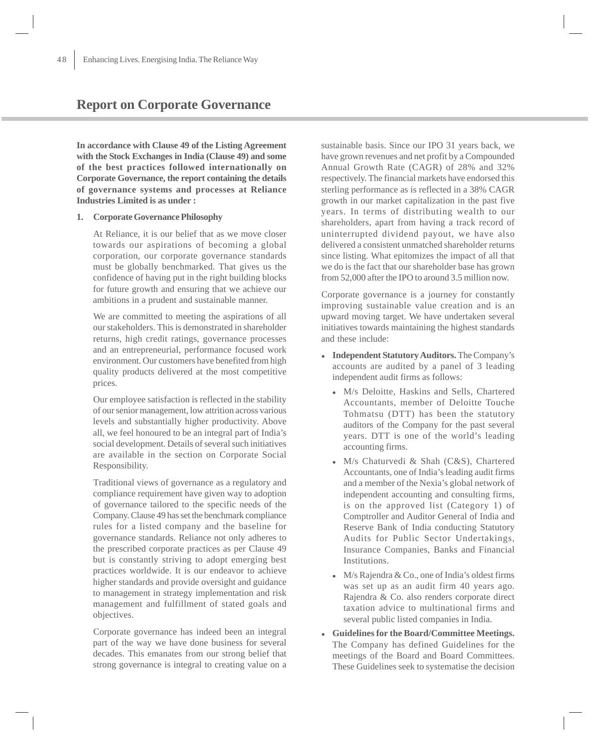# **Report on Corporate Governance**

**In accordance with Clause 49 of the Listing Agreement with the Stock Exchanges in India (Clause 49) and some of the best practices followed internationally on Corporate Governance, the report containing the details of governance systems and processes at Reliance Industries Limited is as under :**

#### **1. Corporate Governance Philosophy**

At Reliance, it is our belief that as we move closer towards our aspirations of becoming a global corporation, our corporate governance standards must be globally benchmarked. That gives us the confidence of having put in the right building blocks for future growth and ensuring that we achieve our ambitions in a prudent and sustainable manner.

We are committed to meeting the aspirations of all our stakeholders. This is demonstrated in shareholder returns, high credit ratings, governance processes and an entrepreneurial, performance focused work environment. Our customers have benefited from high quality products delivered at the most competitive prices.

Our employee satisfaction is reflected in the stability of our senior management, low attrition across various levels and substantially higher productivity. Above all, we feel honoured to be an integral part of India's social development. Details of several such initiatives are available in the section on Corporate Social Responsibility.

Traditional views of governance as a regulatory and compliance requirement have given way to adoption of governance tailored to the specific needs of the Company. Clause 49 has set the benchmark compliance rules for a listed company and the baseline for governance standards. Reliance not only adheres to the prescribed corporate practices as per Clause 49 but is constantly striving to adopt emerging best practices worldwide. It is our endeavor to achieve higher standards and provide oversight and guidance to management in strategy implementation and risk management and fulfillment of stated goals and objectives.

Corporate governance has indeed been an integral part of the way we have done business for several decades. This emanates from our strong belief that strong governance is integral to creating value on a

sustainable basis. Since our IPO 31 years back, we have grown revenues and net profit by a Compounded Annual Growth Rate (CAGR) of 28% and 32% respectively. The financial markets have endorsed this sterling performance as is reflected in a 38% CAGR growth in our market capitalization in the past five years. In terms of distributing wealth to our shareholders, apart from having a track record of uninterrupted dividend payout, we have also delivered a consistent unmatched shareholder returns since listing. What epitomizes the impact of all that we do is the fact that our shareholder base has grown from 52,000 after the IPO to around 3.5 million now.

Corporate governance is a journey for constantly improving sustainable value creation and is an upward moving target. We have undertaken several initiatives towards maintaining the highest standards and these include:

- $\bullet$  **Independent Statutory Auditors.** The Company's accounts are audited by a panel of 3 leading independent audit firms as follows:
	- M/s Deloitte, Haskins and Sells, Chartered Accountants, member of Deloitte Touche Tohmatsu (DTT) has been the statutory auditors of the Company for the past several years. DTT is one of the world's leading accounting firms.
	- M/s Chaturvedi & Shah (C&S), Chartered Accountants, one of India's leading audit firms and a member of the Nexia's global network of independent accounting and consulting firms, is on the approved list (Category 1) of Comptroller and Auditor General of India and Reserve Bank of India conducting Statutory Audits for Public Sector Undertakings, Insurance Companies, Banks and Financial Institutions.
	- $\bullet$  M/s Rajendra & Co., one of India's oldest firms was set up as an audit firm 40 years ago. Rajendra & Co. also renders corporate direct taxation advice to multinational firms and several public listed companies in India.
- **Guidelines for the Board/Committee Meetings.** The Company has defined Guidelines for the meetings of the Board and Board Committees. These Guidelines seek to systematise the decision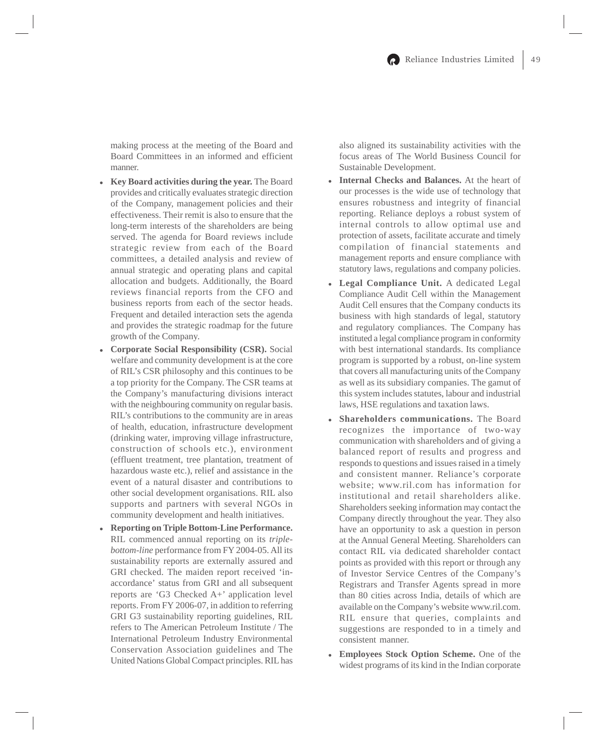making process at the meeting of the Board and Board Committees in an informed and efficient manner.

- **Key Board activities during the year.** The Board provides and critically evaluates strategic direction of the Company, management policies and their effectiveness. Their remit is also to ensure that the long-term interests of the shareholders are being served. The agenda for Board reviews include strategic review from each of the Board committees, a detailed analysis and review of annual strategic and operating plans and capital allocation and budgets. Additionally, the Board reviews financial reports from the CFO and business reports from each of the sector heads. Frequent and detailed interaction sets the agenda and provides the strategic roadmap for the future growth of the Company.
- $\bullet$  **Corporate Social Responsibility (CSR).** Social welfare and community development is at the core of RIL's CSR philosophy and this continues to be a top priority for the Company. The CSR teams at the Company's manufacturing divisions interact with the neighbouring community on regular basis. RIL's contributions to the community are in areas of health, education, infrastructure development (drinking water, improving village infrastructure, construction of schools etc.), environment (effluent treatment, tree plantation, treatment of hazardous waste etc.), relief and assistance in the event of a natural disaster and contributions to other social development organisations. RIL also supports and partners with several NGOs in community development and health initiatives.
- $\bullet$  **Reporting on Triple Bottom-Line Performance.** RIL commenced annual reporting on its *triplebottom-line* performance from FY 2004-05. All its sustainability reports are externally assured and GRI checked. The maiden report received 'inaccordance' status from GRI and all subsequent reports are 'G3 Checked A+' application level reports. From FY 2006-07, in addition to referring GRI G3 sustainability reporting guidelines, RIL refers to The American Petroleum Institute / The International Petroleum Industry Environmental Conservation Association guidelines and The United Nations Global Compact principles. RIL has

also aligned its sustainability activities with the focus areas of The World Business Council for Sustainable Development.

- $\bullet$  **Internal Checks and Balances.** At the heart of our processes is the wide use of technology that ensures robustness and integrity of financial reporting. Reliance deploys a robust system of internal controls to allow optimal use and protection of assets, facilitate accurate and timely compilation of financial statements and management reports and ensure compliance with statutory laws, regulations and company policies.
- **Legal Compliance Unit.** A dedicated Legal Compliance Audit Cell within the Management Audit Cell ensures that the Company conducts its business with high standards of legal, statutory and regulatory compliances. The Company has instituted a legal compliance program in conformity with best international standards. Its compliance program is supported by a robust, on-line system that covers all manufacturing units of the Company as well as its subsidiary companies. The gamut of this system includes statutes, labour and industrial laws, HSE regulations and taxation laws.
- **Shareholders communications.** The Board recognizes the importance of two-way communication with shareholders and of giving a balanced report of results and progress and responds to questions and issues raised in a timely and consistent manner. Reliance's corporate website; www.ril.com has information for institutional and retail shareholders alike. Shareholders seeking information may contact the Company directly throughout the year. They also have an opportunity to ask a question in person at the Annual General Meeting. Shareholders can contact RIL via dedicated shareholder contact points as provided with this report or through any of Investor Service Centres of the Company's Registrars and Transfer Agents spread in more than 80 cities across India, details of which are available on the Company's website www.ril.com. RIL ensure that queries, complaints and suggestions are responded to in a timely and consistent manner.
- - **Employees Stock Option Scheme.** One of the widest programs of its kind in the Indian corporate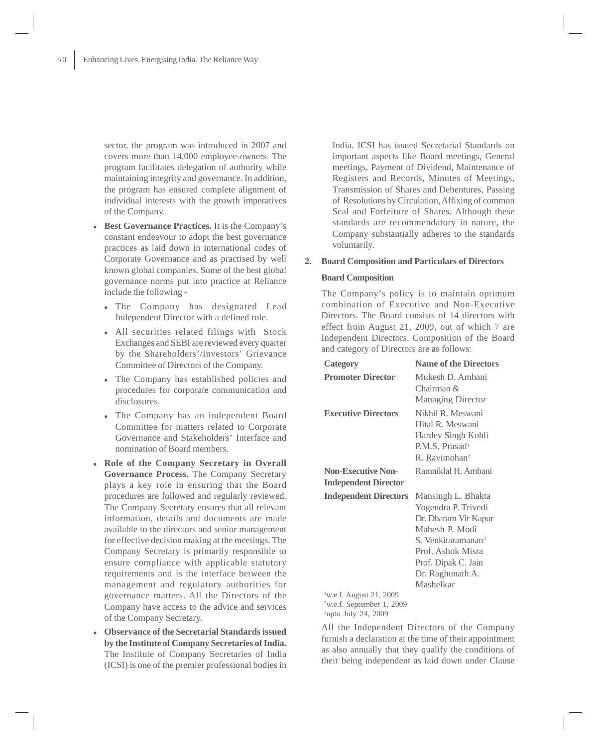sector, the program was introduced in 2007 and covers more than 14,000 employee-owners. The program facilitates delegation of authority while maintaining integrity and governance. In addition, the program has ensured complete alignment of individual interests with the growth imperatives of the Company.

- $\bullet$  **Best Governance Practices.** It is the Company's constant endeavour to adopt the best governance practices as laid down in international codes of Corporate Governance and as practised by well known global companies. Some of the best global governance norms put into practice at Reliance include the following -
	- $\bullet$  The Company has designated Lead Independent Director with a defined role.
	- All securities related filings with Stock Exchanges and SEBI are reviewed every quarter by the Shareholders'/Investors' Grievance Committee of Directors of the Company.
	- The Company has established policies and procedures for corporate communication and disclosures.
	- $\bullet$  The Company has an independent Board Committee for matters related to Corporate Governance and Stakeholders' Interface and nomination of Board members.
- **Role of the Company Secretary in Overall Governance Process.** The Company Secretary plays a key role in ensuring that the Board procedures are followed and regularly reviewed. The Company Secretary ensures that all relevant information, details and documents are made available to the directors and senior management for effective decision making at the meetings. The Company Secretary is primarily responsible to ensure compliance with applicable statutory requirements and is the interface between the management and regulatory authorities for governance matters. All the Directors of the Company have access to the advice and services of the Company Secretary.
- - **Observance of the Secretarial Standards issued by the Institute of Company Secretaries of India.** The Institute of Company Secretaries of India (ICSI) is one of the premier professional bodies in

India. ICSI has issued Secretarial Standards on important aspects like Board meetings, General meetings, Payment of Dividend, Maintenance of Registers and Records, Minutes of Meetings, Transmission of Shares and Debentures, Passing of Resolutions by Circulation, Affixing of common Seal and Forfeiture of Shares. Although these standards are recommendatory in nature, the Company substantially adheres to the standards voluntarily.

#### **2. Board Composition and Particulars of Directors**

#### **Board Composition**

The Company's policy is to maintain optimum combination of Executive and Non-Executive Directors. The Board consists of 14 directors with effect from August 21, 2009, out of which 7 are Independent Directors. Composition of the Board and category of Directors are as follows:

| <b>Category</b>                                                                                                 | <b>Name of the Directors</b>                                                                                                                                                                       |
|-----------------------------------------------------------------------------------------------------------------|----------------------------------------------------------------------------------------------------------------------------------------------------------------------------------------------------|
| <b>Promoter Director</b>                                                                                        | Mukesh D. Ambani<br>Chairman &<br>Managing Director                                                                                                                                                |
| <b>Executive Directors</b>                                                                                      | Nikhil R. Meswani<br>Hital R. Meswani<br>Hardev Singh Kohli<br>P.M.S. Prasad <sup>1</sup><br>R. Ravimohan <sup>2</sup>                                                                             |
| <b>Non-Executive Non-</b><br><b>Independent Director</b>                                                        | Ramniklal H. Ambani                                                                                                                                                                                |
| <b>Independent Directors</b>                                                                                    | Mansingh L. Bhakta<br>Yogendra P. Trivedi<br>Dr. Dharam Vir Kapur<br>Mahesh P. Modi<br>S. Venkitaramanan <sup>3</sup><br>Prof. Ashok Misra<br>Prof. Dipak C. Jain<br>Dr. Raghunath A.<br>Mashelkar |
| <sup>1</sup> w.e.f. August 21, 2009<br><sup>2</sup> w.e.f. September 1, 2009<br><sup>3</sup> upto July 24, 2009 |                                                                                                                                                                                                    |

All the Independent Directors of the Company furnish a declaration at the time of their appointment as also annually that they qualify the conditions of their being independent as laid down under Clause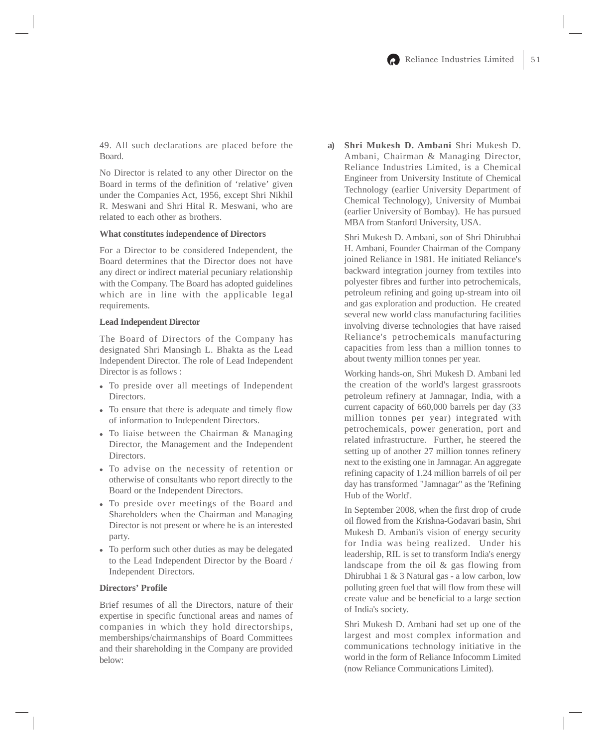49. All such declarations are placed before the Board.

No Director is related to any other Director on the Board in terms of the definition of 'relative' given under the Companies Act, 1956, except Shri Nikhil R. Meswani and Shri Hital R. Meswani, who are related to each other as brothers.

#### **What constitutes independence of Directors**

For a Director to be considered Independent, the Board determines that the Director does not have any direct or indirect material pecuniary relationship with the Company. The Board has adopted guidelines which are in line with the applicable legal requirements.

#### **Lead Independent Director**

The Board of Directors of the Company has designated Shri Mansingh L. Bhakta as the Lead Independent Director. The role of Lead Independent Director is as follows :

- To preside over all meetings of Independent Directors.
- To ensure that there is adequate and timely flow of information to Independent Directors.
- To liaise between the Chairman & Managing Director, the Management and the Independent Directors.
- To advise on the necessity of retention or otherwise of consultants who report directly to the Board or the Independent Directors.
- To preside over meetings of the Board and Shareholders when the Chairman and Managing Director is not present or where he is an interested party.
- To perform such other duties as may be delegated to the Lead Independent Director by the Board / Independent Directors.

## **Directors' Profile**

Brief resumes of all the Directors, nature of their expertise in specific functional areas and names of companies in which they hold directorships, memberships/chairmanships of Board Committees and their shareholding in the Company are provided below:

**a) Shri Mukesh D. Ambani** Shri Mukesh D. Ambani, Chairman & Managing Director, Reliance Industries Limited, is a Chemical Engineer from University Institute of Chemical Technology (earlier University Department of Chemical Technology), University of Mumbai (earlier University of Bombay). He has pursued MBA from Stanford University, USA.

Shri Mukesh D. Ambani, son of Shri Dhirubhai H. Ambani, Founder Chairman of the Company joined Reliance in 1981. He initiated Reliance's backward integration journey from textiles into polyester fibres and further into petrochemicals, petroleum refining and going up-stream into oil and gas exploration and production. He created several new world class manufacturing facilities involving diverse technologies that have raised Reliance's petrochemicals manufacturing capacities from less than a million tonnes to about twenty million tonnes per year.

Working hands-on, Shri Mukesh D. Ambani led the creation of the world's largest grassroots petroleum refinery at Jamnagar, India, with a current capacity of 660,000 barrels per day (33 million tonnes per year) integrated with petrochemicals, power generation, port and related infrastructure. Further, he steered the setting up of another 27 million tonnes refinery next to the existing one in Jamnagar. An aggregate refining capacity of 1.24 million barrels of oil per day has transformed "Jamnagar" as the 'Refining Hub of the World'.

In September 2008, when the first drop of crude oil flowed from the Krishna-Godavari basin, Shri Mukesh D. Ambani's vision of energy security for India was being realized. Under his leadership, RIL is set to transform India's energy landscape from the oil & gas flowing from Dhirubhai 1 & 3 Natural gas - a low carbon, low polluting green fuel that will flow from these will create value and be beneficial to a large section of India's society.

Shri Mukesh D. Ambani had set up one of the largest and most complex information and communications technology initiative in the world in the form of Reliance Infocomm Limited (now Reliance Communications Limited).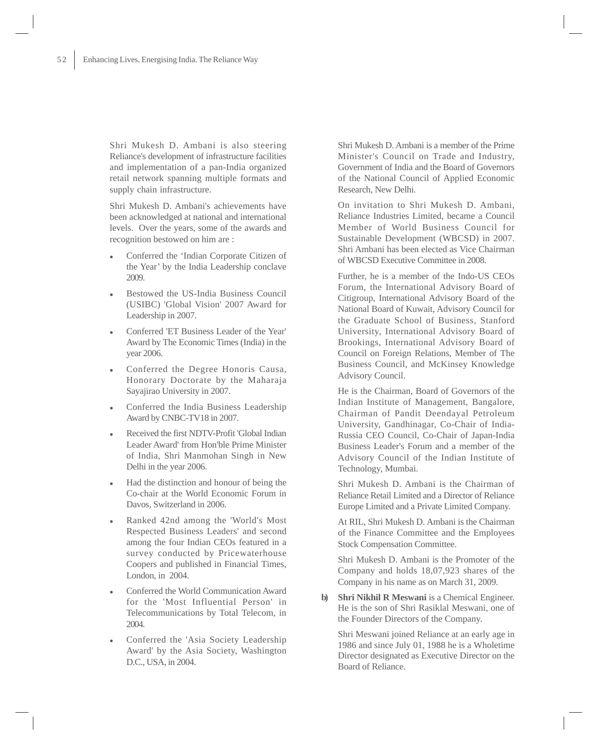Shri Mukesh D. Ambani is also steering Reliance's development of infrastructure facilities and implementation of a pan-India organized retail network spanning multiple formats and supply chain infrastructure.

Shri Mukesh D. Ambani's achievements have been acknowledged at national and international levels. Over the years, some of the awards and recognition bestowed on him are :

- $\bullet$  Conferred the 'Indian Corporate Citizen of the Year' by the India Leadership conclave 2009.
- - Bestowed the US-India Business Council (USIBC) 'Global Vision' 2007 Award for Leadership in 2007.
- $\bullet$  Conferred 'ET Business Leader of the Year' Award by The Economic Times (India) in the year 2006.
- $\bullet$  Conferred the Degree Honoris Causa, Honorary Doctorate by the Maharaja Sayajirao University in 2007.
- $\bullet$  Conferred the India Business Leadership Award by CNBC-TV18 in 2007.
- $\bullet$  Received the first NDTV-Profit 'Global Indian Leader Award' from Hon'ble Prime Minister of India, Shri Manmohan Singh in New Delhi in the year 2006.
- $\bullet$  Had the distinction and honour of being the Co-chair at the World Economic Forum in Davos, Switzerland in 2006.
- $\bullet$  Ranked 42nd among the 'World's Most Respected Business Leaders' and second among the four Indian CEOs featured in a survey conducted by Pricewaterhouse Coopers and published in Financial Times, London, in 2004.
- $\bullet$  Conferred the World Communication Award for the 'Most Influential Person' in Telecommunications by Total Telecom, in 2004.
- $\bullet$  Conferred the 'Asia Society Leadership Award' by the Asia Society, Washington D.C., USA, in 2004.

Shri Mukesh D. Ambani is a member of the Prime Minister's Council on Trade and Industry, Government of India and the Board of Governors of the National Council of Applied Economic Research, New Delhi.

On invitation to Shri Mukesh D. Ambani, Reliance Industries Limited, became a Council Member of World Business Council for Sustainable Development (WBCSD) in 2007. Shri Ambani has been elected as Vice Chairman of WBCSD Executive Committee in 2008.

Further, he is a member of the Indo-US CEOs Forum, the International Advisory Board of Citigroup, International Advisory Board of the National Board of Kuwait, Advisory Council for the Graduate School of Business, Stanford University, International Advisory Board of Brookings, International Advisory Board of Council on Foreign Relations, Member of The Business Council, and McKinsey Knowledge Advisory Council.

He is the Chairman, Board of Governors of the Indian Institute of Management, Bangalore, Chairman of Pandit Deendayal Petroleum University, Gandhinagar, Co-Chair of India-Russia CEO Council, Co-Chair of Japan-India Business Leader's Forum and a member of the Advisory Council of the Indian Institute of Technology, Mumbai.

Shri Mukesh D. Ambani is the Chairman of Reliance Retail Limited and a Director of Reliance Europe Limited and a Private Limited Company.

At RIL, Shri Mukesh D. Ambani is the Chairman of the Finance Committee and the Employees Stock Compensation Committee.

Shri Mukesh D. Ambani is the Promoter of the Company and holds 18,07,923 shares of the Company in his name as on March 31, 2009.

**b) Shri Nikhil R Meswani** is a Chemical Engineer. He is the son of Shri Rasiklal Meswani, one of the Founder Directors of the Company.

Shri Meswani joined Reliance at an early age in 1986 and since July 01, 1988 he is a Wholetime Director designated as Executive Director on the Board of Reliance.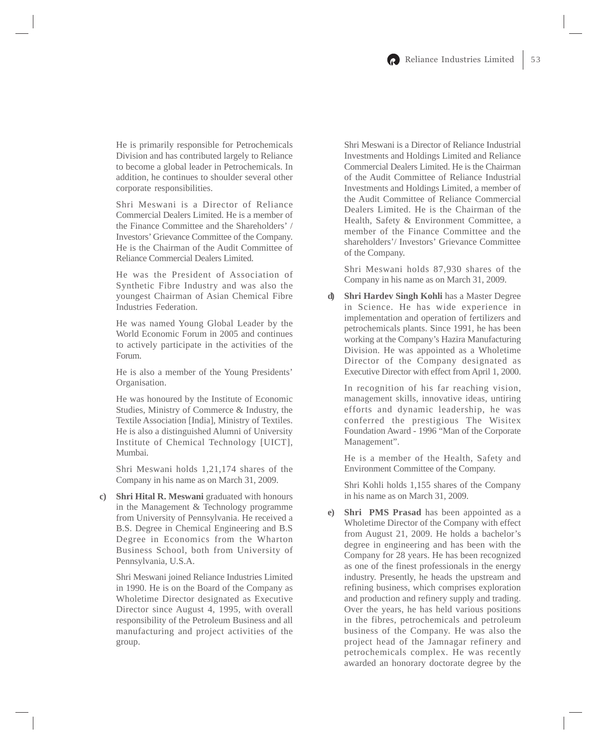He is primarily responsible for Petrochemicals Division and has contributed largely to Reliance to become a global leader in Petrochemicals. In addition, he continues to shoulder several other corporate responsibilities.

Shri Meswani is a Director of Reliance Commercial Dealers Limited. He is a member of the Finance Committee and the Shareholders' / Investors' Grievance Committee of the Company. He is the Chairman of the Audit Committee of Reliance Commercial Dealers Limited.

He was the President of Association of Synthetic Fibre Industry and was also the youngest Chairman of Asian Chemical Fibre Industries Federation.

He was named Young Global Leader by the World Economic Forum in 2005 and continues to actively participate in the activities of the Forum.

He is also a member of the Young Presidents' Organisation.

He was honoured by the Institute of Economic Studies, Ministry of Commerce & Industry, the Textile Association [India], Ministry of Textiles. He is also a distinguished Alumni of University Institute of Chemical Technology [UICT], Mumbai.

Shri Meswani holds 1,21,174 shares of the Company in his name as on March 31, 2009.

**c) Shri Hital R. Meswani** graduated with honours in the Management & Technology programme from University of Pennsylvania. He received a B.S. Degree in Chemical Engineering and B.S Degree in Economics from the Wharton Business School, both from University of Pennsylvania, U.S.A.

Shri Meswani joined Reliance Industries Limited in 1990. He is on the Board of the Company as Wholetime Director designated as Executive Director since August 4, 1995, with overall responsibility of the Petroleum Business and all manufacturing and project activities of the group.

Shri Meswani is a Director of Reliance Industrial Investments and Holdings Limited and Reliance Commercial Dealers Limited. He is the Chairman of the Audit Committee of Reliance Industrial Investments and Holdings Limited, a member of the Audit Committee of Reliance Commercial Dealers Limited. He is the Chairman of the Health, Safety & Environment Committee, a member of the Finance Committee and the shareholders'/ Investors' Grievance Committee of the Company.

Shri Meswani holds 87,930 shares of the Company in his name as on March 31, 2009.

**d) Shri Hardev Singh Kohli** has a Master Degree in Science. He has wide experience in implementation and operation of fertilizers and petrochemicals plants. Since 1991, he has been working at the Company's Hazira Manufacturing Division. He was appointed as a Wholetime Director of the Company designated as Executive Director with effect from April 1, 2000.

In recognition of his far reaching vision, management skills, innovative ideas, untiring efforts and dynamic leadership, he was conferred the prestigious The Wisitex Foundation Award - 1996 "Man of the Corporate Management".

He is a member of the Health, Safety and Environment Committee of the Company.

Shri Kohli holds 1,155 shares of the Company in his name as on March 31, 2009.

**e) Shri PMS Prasad** has been appointed as a Wholetime Director of the Company with effect from August 21, 2009. He holds a bachelor's degree in engineering and has been with the Company for 28 years. He has been recognized as one of the finest professionals in the energy industry. Presently, he heads the upstream and refining business, which comprises exploration and production and refinery supply and trading. Over the years, he has held various positions in the fibres, petrochemicals and petroleum business of the Company. He was also the project head of the Jamnagar refinery and petrochemicals complex. He was recently awarded an honorary doctorate degree by the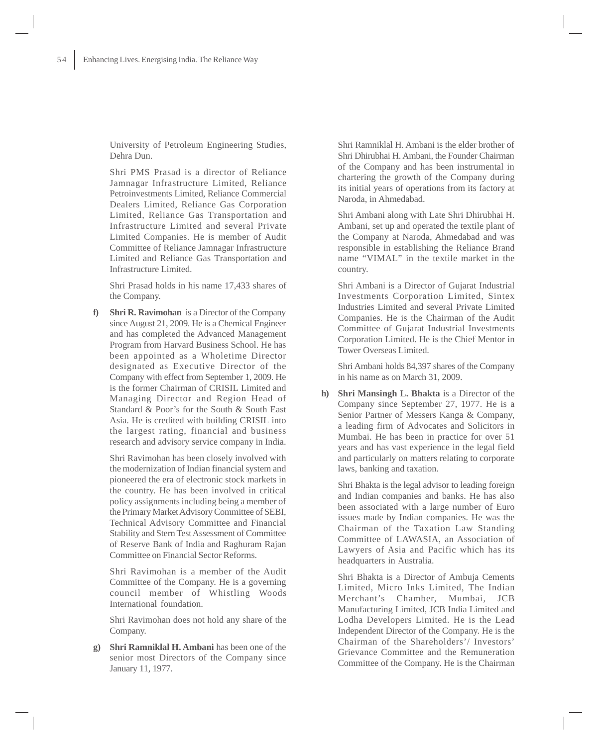University of Petroleum Engineering Studies, Dehra Dun.

Shri PMS Prasad is a director of Reliance Jamnagar Infrastructure Limited, Reliance Petroinvestments Limited, Reliance Commercial Dealers Limited, Reliance Gas Corporation Limited, Reliance Gas Transportation and Infrastructure Limited and several Private Limited Companies. He is member of Audit Committee of Reliance Jamnagar Infrastructure Limited and Reliance Gas Transportation and Infrastructure Limited.

Shri Prasad holds in his name 17,433 shares of the Company.

**f) Shri R. Ravimohan** is a Director of the Company since August 21, 2009. He is a Chemical Engineer and has completed the Advanced Management Program from Harvard Business School. He has been appointed as a Wholetime Director designated as Executive Director of the Company with effect from September 1, 2009. He is the former Chairman of CRISIL Limited and Managing Director and Region Head of Standard & Poor's for the South & South East Asia. He is credited with building CRISIL into the largest rating, financial and business research and advisory service company in India.

Shri Ravimohan has been closely involved with the modernization of Indian financial system and pioneered the era of electronic stock markets in the country. He has been involved in critical policy assignments including being a member of the Primary Market Advisory Committee of SEBI, Technical Advisory Committee and Financial Stability and Stern Test Assessment of Committee of Reserve Bank of India and Raghuram Rajan Committee on Financial Sector Reforms.

Shri Ravimohan is a member of the Audit Committee of the Company. He is a governing council member of Whistling Woods International foundation.

Shri Ravimohan does not hold any share of the Company.

**g) Shri Ramniklal H. Ambani** has been one of the senior most Directors of the Company since January 11, 1977.

Shri Ramniklal H. Ambani is the elder brother of Shri Dhirubhai H. Ambani, the Founder Chairman of the Company and has been instrumental in chartering the growth of the Company during its initial years of operations from its factory at Naroda, in Ahmedabad.

Shri Ambani along with Late Shri Dhirubhai H. Ambani, set up and operated the textile plant of the Company at Naroda, Ahmedabad and was responsible in establishing the Reliance Brand name "VIMAL" in the textile market in the country.

Shri Ambani is a Director of Gujarat Industrial Investments Corporation Limited, Sintex Industries Limited and several Private Limited Companies. He is the Chairman of the Audit Committee of Gujarat Industrial Investments Corporation Limited. He is the Chief Mentor in Tower Overseas Limited.

Shri Ambani holds 84,397 shares of the Company in his name as on March 31, 2009.

**h) Shri Mansingh L. Bhakta** is a Director of the Company since September 27, 1977. He is a Senior Partner of Messers Kanga & Company, a leading firm of Advocates and Solicitors in Mumbai. He has been in practice for over 51 years and has vast experience in the legal field and particularly on matters relating to corporate laws, banking and taxation.

Shri Bhakta is the legal advisor to leading foreign and Indian companies and banks. He has also been associated with a large number of Euro issues made by Indian companies. He was the Chairman of the Taxation Law Standing Committee of LAWASIA, an Association of Lawyers of Asia and Pacific which has its headquarters in Australia.

Shri Bhakta is a Director of Ambuja Cements Limited, Micro Inks Limited, The Indian Merchant's Chamber, Mumbai, JCB Manufacturing Limited, JCB India Limited and Lodha Developers Limited. He is the Lead Independent Director of the Company. He is the Chairman of the Shareholders'/ Investors' Grievance Committee and the Remuneration Committee of the Company. He is the Chairman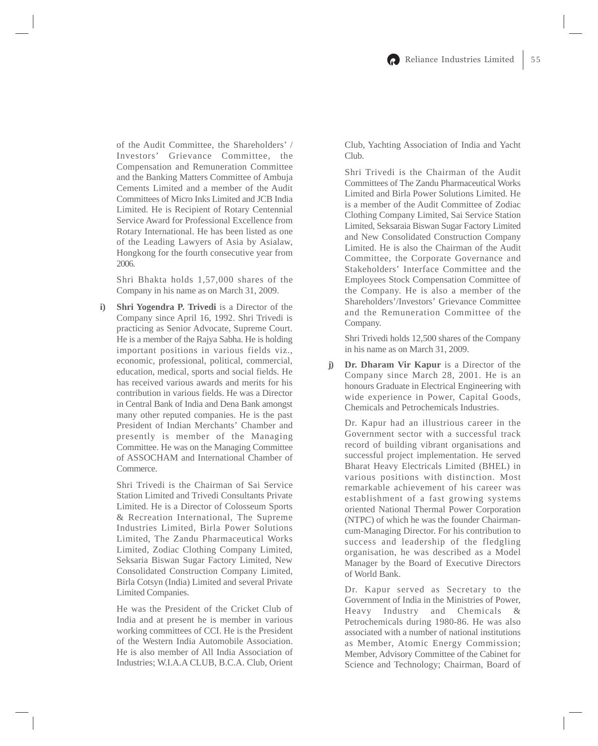of the Audit Committee, the Shareholders' / Investors' Grievance Committee, the Compensation and Remuneration Committee and the Banking Matters Committee of Ambuja Cements Limited and a member of the Audit Committees of Micro Inks Limited and JCB India Limited. He is Recipient of Rotary Centennial Service Award for Professional Excellence from Rotary International. He has been listed as one of the Leading Lawyers of Asia by Asialaw, Hongkong for the fourth consecutive year from 2006.

Shri Bhakta holds 1,57,000 shares of the Company in his name as on March 31, 2009.

**i) Shri Yogendra P. Trivedi** is a Director of the Company since April 16, 1992. Shri Trivedi is practicing as Senior Advocate, Supreme Court. He is a member of the Rajya Sabha. He is holding important positions in various fields viz., economic, professional, political, commercial, education, medical, sports and social fields. He has received various awards and merits for his contribution in various fields. He was a Director in Central Bank of India and Dena Bank amongst many other reputed companies. He is the past President of Indian Merchants' Chamber and presently is member of the Managing Committee. He was on the Managing Committee of ASSOCHAM and International Chamber of Commerce.

Shri Trivedi is the Chairman of Sai Service Station Limited and Trivedi Consultants Private Limited. He is a Director of Colosseum Sports & Recreation International, The Supreme Industries Limited, Birla Power Solutions Limited, The Zandu Pharmaceutical Works Limited, Zodiac Clothing Company Limited, Seksaria Biswan Sugar Factory Limited, New Consolidated Construction Company Limited, Birla Cotsyn (India) Limited and several Private Limited Companies.

He was the President of the Cricket Club of India and at present he is member in various working committees of CCI. He is the President of the Western India Automobile Association. He is also member of All India Association of Industries; W.I.A.A CLUB, B.C.A. Club, Orient

Club, Yachting Association of India and Yacht Club.

Shri Trivedi is the Chairman of the Audit Committees of The Zandu Pharmaceutical Works Limited and Birla Power Solutions Limited. He is a member of the Audit Committee of Zodiac Clothing Company Limited, Sai Service Station Limited, Seksaraia Biswan Sugar Factory Limited and New Consolidated Construction Company Limited. He is also the Chairman of the Audit Committee, the Corporate Governance and Stakeholders' Interface Committee and the Employees Stock Compensation Committee of the Company. He is also a member of the Shareholders'/Investors' Grievance Committee and the Remuneration Committee of the Company.

Shri Trivedi holds 12,500 shares of the Company in his name as on March 31, 2009.

**j) Dr. Dharam Vir Kapur** is a Director of the Company since March 28, 2001. He is an honours Graduate in Electrical Engineering with wide experience in Power, Capital Goods, Chemicals and Petrochemicals Industries.

Dr. Kapur had an illustrious career in the Government sector with a successful track record of building vibrant organisations and successful project implementation. He served Bharat Heavy Electricals Limited (BHEL) in various positions with distinction. Most remarkable achievement of his career was establishment of a fast growing systems oriented National Thermal Power Corporation (NTPC) of which he was the founder Chairmancum-Managing Director. For his contribution to success and leadership of the fledgling organisation, he was described as a Model Manager by the Board of Executive Directors of World Bank.

Dr. Kapur served as Secretary to the Government of India in the Ministries of Power, Heavy Industry and Chemicals & Petrochemicals during 1980-86. He was also associated with a number of national institutions as Member, Atomic Energy Commission; Member, Advisory Committee of the Cabinet for Science and Technology; Chairman, Board of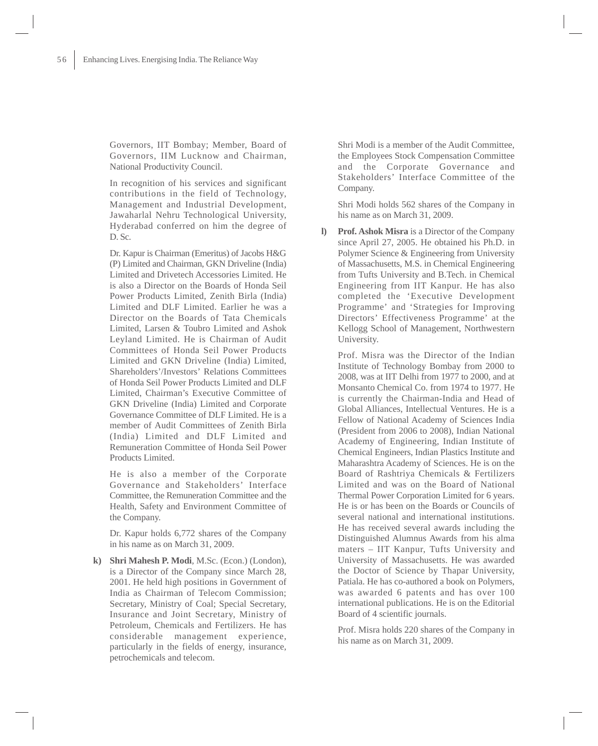Governors, IIT Bombay; Member, Board of Governors, IIM Lucknow and Chairman, National Productivity Council.

In recognition of his services and significant contributions in the field of Technology, Management and Industrial Development, Jawaharlal Nehru Technological University, Hyderabad conferred on him the degree of D. Sc.

Dr. Kapur is Chairman (Emeritus) of Jacobs H&G (P) Limited and Chairman, GKN Driveline (India) Limited and Drivetech Accessories Limited. He is also a Director on the Boards of Honda Seil Power Products Limited, Zenith Birla (India) Limited and DLF Limited. Earlier he was a Director on the Boards of Tata Chemicals Limited, Larsen & Toubro Limited and Ashok Leyland Limited. He is Chairman of Audit Committees of Honda Seil Power Products Limited and GKN Driveline (India) Limited, Shareholders'/Investors' Relations Committees of Honda Seil Power Products Limited and DLF Limited, Chairman's Executive Committee of GKN Driveline (India) Limited and Corporate Governance Committee of DLF Limited. He is a member of Audit Committees of Zenith Birla (India) Limited and DLF Limited and Remuneration Committee of Honda Seil Power Products Limited.

He is also a member of the Corporate Governance and Stakeholders' Interface Committee, the Remuneration Committee and the Health, Safety and Environment Committee of the Company.

Dr. Kapur holds 6,772 shares of the Company in his name as on March 31, 2009.

**k) Shri Mahesh P. Modi**, M.Sc. (Econ.) (London), is a Director of the Company since March 28, 2001. He held high positions in Government of India as Chairman of Telecom Commission; Secretary, Ministry of Coal; Special Secretary, Insurance and Joint Secretary, Ministry of Petroleum, Chemicals and Fertilizers. He has considerable management experience, particularly in the fields of energy, insurance, petrochemicals and telecom.

Shri Modi is a member of the Audit Committee, the Employees Stock Compensation Committee and the Corporate Governance and Stakeholders' Interface Committee of the Company.

Shri Modi holds 562 shares of the Company in his name as on March 31, 2009.

**l) Prof. Ashok Misra** is a Director of the Company since April 27, 2005. He obtained his Ph.D. in Polymer Science & Engineering from University of Massachusetts, M.S. in Chemical Engineering from Tufts University and B.Tech. in Chemical Engineering from IIT Kanpur. He has also completed the 'Executive Development Programme' and 'Strategies for Improving Directors' Effectiveness Programme' at the Kellogg School of Management, Northwestern University.

Prof. Misra was the Director of the Indian Institute of Technology Bombay from 2000 to 2008, was at IIT Delhi from 1977 to 2000, and at Monsanto Chemical Co. from 1974 to 1977. He is currently the Chairman-India and Head of Global Alliances, Intellectual Ventures. He is a Fellow of National Academy of Sciences India (President from 2006 to 2008), Indian National Academy of Engineering, Indian Institute of Chemical Engineers, Indian Plastics Institute and Maharashtra Academy of Sciences. He is on the Board of Rashtriya Chemicals & Fertilizers Limited and was on the Board of National Thermal Power Corporation Limited for 6 years. He is or has been on the Boards or Councils of several national and international institutions. He has received several awards including the Distinguished Alumnus Awards from his alma maters – IIT Kanpur, Tufts University and University of Massachusetts. He was awarded the Doctor of Science by Thapar University, Patiala. He has co-authored a book on Polymers, was awarded 6 patents and has over 100 international publications. He is on the Editorial Board of 4 scientific journals.

Prof. Misra holds 220 shares of the Company in his name as on March 31, 2009.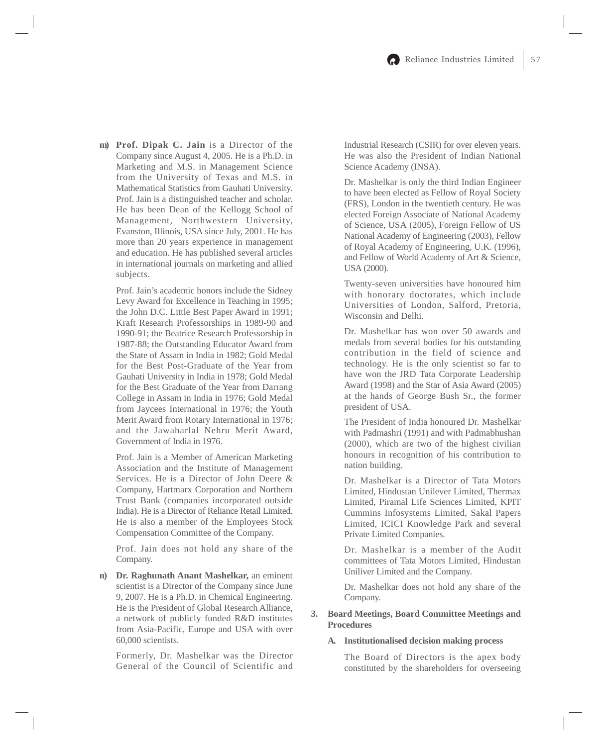**m) Prof. Dipak C. Jain** is a Director of the Company since August 4, 2005. He is a Ph.D. in Marketing and M.S. in Management Science from the University of Texas and M.S. in Mathematical Statistics from Gauhati University. Prof. Jain is a distinguished teacher and scholar. He has been Dean of the Kellogg School of Management, Northwestern University, Evanston, Illinois, USA since July, 2001. He has more than 20 years experience in management and education. He has published several articles in international journals on marketing and allied subjects.

Prof. Jain's academic honors include the Sidney Levy Award for Excellence in Teaching in 1995; the John D.C. Little Best Paper Award in 1991; Kraft Research Professorships in 1989-90 and 1990-91; the Beatrice Research Professorship in 1987-88; the Outstanding Educator Award from the State of Assam in India in 1982; Gold Medal for the Best Post-Graduate of the Year from Gauhati University in India in 1978; Gold Medal for the Best Graduate of the Year from Darrang College in Assam in India in 1976; Gold Medal from Jaycees International in 1976; the Youth Merit Award from Rotary International in 1976; and the Jawaharlal Nehru Merit Award, Government of India in 1976.

Prof. Jain is a Member of American Marketing Association and the Institute of Management Services. He is a Director of John Deere & Company, Hartmarx Corporation and Northern Trust Bank (companies incorporated outside India). He is a Director of Reliance Retail Limited. He is also a member of the Employees Stock Compensation Committee of the Company.

Prof. Jain does not hold any share of the Company.

**n) Dr. Raghunath Anant Mashelkar,** an eminent scientist is a Director of the Company since June 9, 2007. He is a Ph.D. in Chemical Engineering. He is the President of Global Research Alliance, a network of publicly funded R&D institutes from Asia-Pacific, Europe and USA with over 60,000 scientists.

Formerly, Dr. Mashelkar was the Director General of the Council of Scientific and Industrial Research (CSIR) for over eleven years. He was also the President of Indian National Science Academy (INSA).

Dr. Mashelkar is only the third Indian Engineer to have been elected as Fellow of Royal Society (FRS), London in the twentieth century. He was elected Foreign Associate of National Academy of Science, USA (2005), Foreign Fellow of US National Academy of Engineering (2003), Fellow of Royal Academy of Engineering, U.K. (1996), and Fellow of World Academy of Art & Science, USA (2000).

Twenty-seven universities have honoured him with honorary doctorates, which include Universities of London, Salford, Pretoria, Wisconsin and Delhi.

Dr. Mashelkar has won over 50 awards and medals from several bodies for his outstanding contribution in the field of science and technology. He is the only scientist so far to have won the JRD Tata Corporate Leadership Award (1998) and the Star of Asia Award (2005) at the hands of George Bush Sr., the former president of USA.

The President of India honoured Dr. Mashelkar with Padmashri (1991) and with Padmabhushan (2000), which are two of the highest civilian honours in recognition of his contribution to nation building.

Dr. Mashelkar is a Director of Tata Motors Limited, Hindustan Unilever Limited, Thermax Limited, Piramal Life Sciences Limited, KPIT Cummins Infosystems Limited, Sakal Papers Limited, ICICI Knowledge Park and several Private Limited Companies.

Dr. Mashelkar is a member of the Audit committees of Tata Motors Limited, Hindustan Uniliver Limited and the Company.

Dr. Mashelkar does not hold any share of the Company.

# **3. Board Meetings, Board Committee Meetings and Procedures**

## **A. Institutionalised decision making process**

The Board of Directors is the apex body constituted by the shareholders for overseeing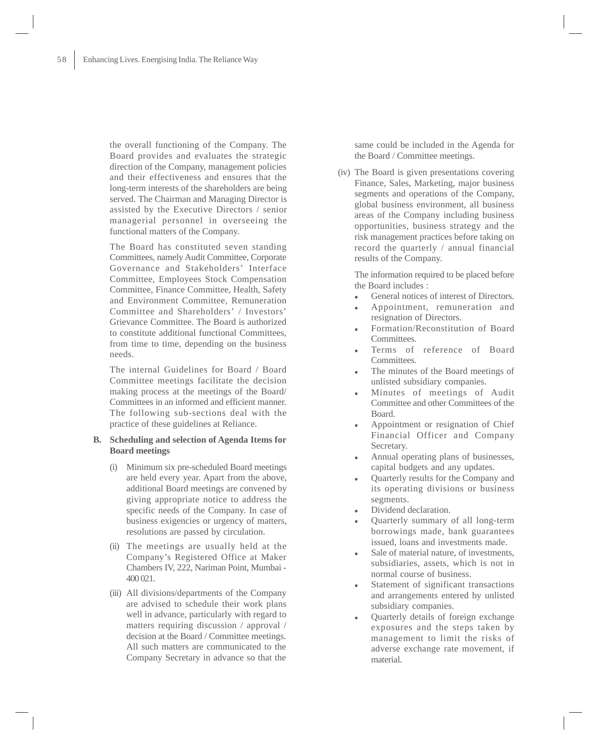the overall functioning of the Company. The Board provides and evaluates the strategic direction of the Company, management policies and their effectiveness and ensures that the long-term interests of the shareholders are being served. The Chairman and Managing Director is assisted by the Executive Directors / senior managerial personnel in overseeing the functional matters of the Company.

The Board has constituted seven standing Committees, namely Audit Committee, Corporate Governance and Stakeholders' Interface Committee, Employees Stock Compensation Committee, Finance Committee, Health, Safety and Environment Committee, Remuneration Committee and Shareholders' / Investors' Grievance Committee. The Board is authorized to constitute additional functional Committees, from time to time, depending on the business needs.

The internal Guidelines for Board / Board Committee meetings facilitate the decision making process at the meetings of the Board/ Committees in an informed and efficient manner. The following sub-sections deal with the practice of these guidelines at Reliance.

## **B. Scheduling and selection of Agenda Items for Board meetings**

- (i) Minimum six pre-scheduled Board meetings are held every year. Apart from the above, additional Board meetings are convened by giving appropriate notice to address the specific needs of the Company. In case of business exigencies or urgency of matters, resolutions are passed by circulation.
- (ii) The meetings are usually held at the Company's Registered Office at Maker Chambers IV, 222, Nariman Point, Mumbai - 400 021.
- (iii) All divisions/departments of the Company are advised to schedule their work plans well in advance, particularly with regard to matters requiring discussion / approval / decision at the Board / Committee meetings. All such matters are communicated to the Company Secretary in advance so that the

same could be included in the Agenda for the Board / Committee meetings.

(iv) The Board is given presentations covering Finance, Sales, Marketing, major business segments and operations of the Company, global business environment, all business areas of the Company including business opportunities, business strategy and the risk management practices before taking on record the quarterly / annual financial results of the Company.

The information required to be placed before the Board includes :

- $\bullet$ General notices of interest of Directors.
- $\bullet$  Appointment, remuneration and resignation of Directors.
- $\bullet$  Formation/Reconstitution of Board Committees.
- $\bullet$  Terms of reference of Board Committees.
- - The minutes of the Board meetings of unlisted subsidiary companies.
- $\bullet$  Minutes of meetings of Audit Committee and other Committees of the Board.
- $\bullet$  Appointment or resignation of Chief Financial Officer and Company Secretary.
- $\bullet$  Annual operating plans of businesses, capital budgets and any updates.
- $\bullet$  Quarterly results for the Company and its operating divisions or business segments.
- $\bullet$ Dividend declaration.
- - Quarterly summary of all long-term borrowings made, bank guarantees issued, loans and investments made.
- $\bullet$  Sale of material nature, of investments, subsidiaries, assets, which is not in normal course of business.
- $\bullet$  Statement of significant transactions and arrangements entered by unlisted subsidiary companies.
- $\bullet$  Quarterly details of foreign exchange exposures and the steps taken by management to limit the risks of adverse exchange rate movement, if material.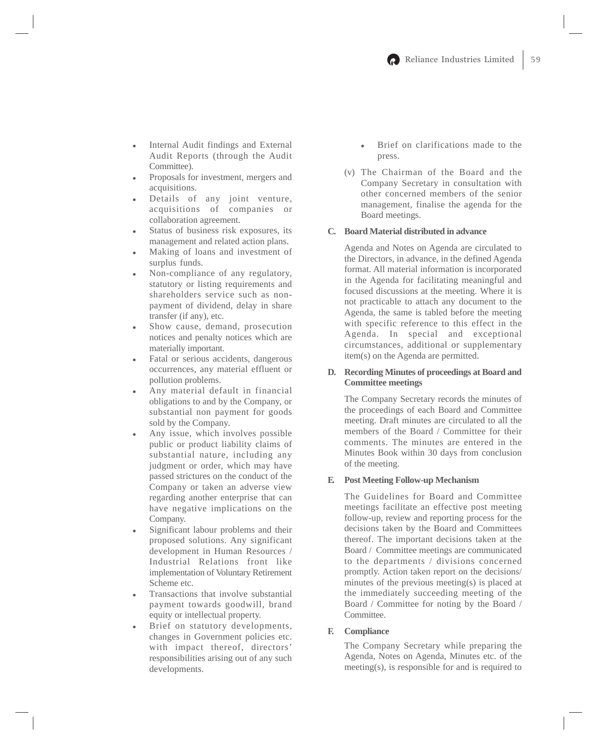- $\bullet$  Internal Audit findings and External Audit Reports (through the Audit Committee).
- $\bullet$  Proposals for investment, mergers and acquisitions.
- $\bullet$  Details of any joint venture, acquisitions of companies or collaboration agreement.
- $\bullet$  Status of business risk exposures, its management and related action plans.
- $\bullet$  Making of loans and investment of surplus funds.
- $\bullet$  Non-compliance of any regulatory, statutory or listing requirements and shareholders service such as nonpayment of dividend, delay in share transfer (if any), etc.
- $\bullet$  Show cause, demand, prosecution notices and penalty notices which are materially important.
- $\bullet$  Fatal or serious accidents, dangerous occurrences, any material effluent or pollution problems.
- $\bullet$  Any material default in financial obligations to and by the Company, or substantial non payment for goods sold by the Company.
- $\bullet$  Any issue, which involves possible public or product liability claims of substantial nature, including any judgment or order, which may have passed strictures on the conduct of the Company or taken an adverse view regarding another enterprise that can have negative implications on the Company.
- $\bullet$  Significant labour problems and their proposed solutions. Any significant development in Human Resources / Industrial Relations front like implementation of Voluntary Retirement Scheme etc.
- $\bullet$  Transactions that involve substantial payment towards goodwill, brand equity or intellectual property.
- $\bullet$  Brief on statutory developments, changes in Government policies etc. with impact thereof, directors' responsibilities arising out of any such developments.
- $\bullet$  Brief on clarifications made to the press.
- (v) The Chairman of the Board and the Company Secretary in consultation with other concerned members of the senior management, finalise the agenda for the Board meetings.

## **C. Board Material distributed in advance**

Agenda and Notes on Agenda are circulated to the Directors, in advance, in the defined Agenda format. All material information is incorporated in the Agenda for facilitating meaningful and focused discussions at the meeting. Where it is not practicable to attach any document to the Agenda, the same is tabled before the meeting with specific reference to this effect in the Agenda. In special and exceptional circumstances, additional or supplementary item(s) on the Agenda are permitted.

## **D. Recording Minutes of proceedings at Board and Committee meetings**

The Company Secretary records the minutes of the proceedings of each Board and Committee meeting. Draft minutes are circulated to all the members of the Board / Committee for their comments. The minutes are entered in the Minutes Book within 30 days from conclusion of the meeting.

#### **E. Post Meeting Follow-up Mechanism**

The Guidelines for Board and Committee meetings facilitate an effective post meeting follow-up, review and reporting process for the decisions taken by the Board and Committees thereof. The important decisions taken at the Board / Committee meetings are communicated to the departments / divisions concerned promptly. Action taken report on the decisions/ minutes of the previous meeting(s) is placed at the immediately succeeding meeting of the Board / Committee for noting by the Board / Committee.

#### **F. Compliance**

The Company Secretary while preparing the Agenda, Notes on Agenda, Minutes etc. of the meeting(s), is responsible for and is required to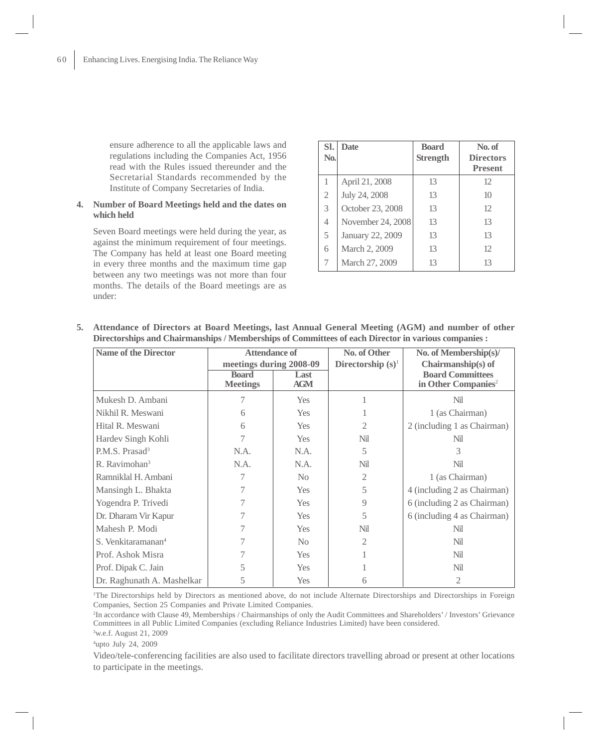ensure adherence to all the applicable laws and regulations including the Companies Act, 1956 read with the Rules issued thereunder and the Secretarial Standards recommended by the Institute of Company Secretaries of India.

# **4. Number of Board Meetings held and the dates on which held**

Seven Board meetings were held during the year, as against the minimum requirement of four meetings. The Company has held at least one Board meeting in every three months and the maximum time gap between any two meetings was not more than four months. The details of the Board meetings are as under:

| SI.            | Date              | <b>Board</b>    | No. of           |
|----------------|-------------------|-----------------|------------------|
| No.            |                   | <b>Strength</b> | <b>Directors</b> |
|                |                   |                 | <b>Present</b>   |
|                | April 21, 2008    | 13              | 12               |
| $\overline{2}$ | July 24, 2008     | 13              | 10               |
| 3              | October 23, 2008  | 13              | 12               |
| 4              | November 24, 2008 | 13              | 13               |
| 5              | January 22, 2009  | 13              | 13               |
| 6              | March 2, 2009     | 13              | 12               |
| 7              | March 27, 2009    | 13              | 13               |

**5. Attendance of Directors at Board Meetings, last Annual General Meeting (AGM) and number of other Directorships and Chairmanships / Memberships of Committees of each Director in various companies :**

| <b>Name of the Director</b>    | <b>Attendance of</b>            |                    | No. of Other | No. of Membership(s)/                                      |                      |                    |
|--------------------------------|---------------------------------|--------------------|--------------|------------------------------------------------------------|----------------------|--------------------|
|                                | meetings during 2008-09         |                    |              |                                                            | Directorship $(s)^1$ | Chairmanship(s) of |
|                                | <b>Board</b><br><b>Meetings</b> | Last<br><b>AGM</b> |              | <b>Board Committees</b><br>in Other Companies <sup>2</sup> |                      |                    |
| Mukesh D. Ambani               |                                 | <b>Yes</b>         |              | Nil                                                        |                      |                    |
| Nikhil R. Meswani              | 6                               | <b>Yes</b>         |              | 1 (as Chairman)                                            |                      |                    |
| Hital R. Meswani               | 6                               | <b>Yes</b>         | 2            | 2 (including 1 as Chairman)                                |                      |                    |
| Hardev Singh Kohli             |                                 | <b>Yes</b>         | Nil          | Nil                                                        |                      |                    |
| P.M.S. Prasad <sup>3</sup>     | N.A.                            | N.A.               | 5            | 3                                                          |                      |                    |
| R. Ravimohan <sup>3</sup>      | N.A.                            | N.A.               | Nil          | Nil                                                        |                      |                    |
| Ramniklal H. Ambani            |                                 | N <sub>0</sub>     | 2            | 1 (as Chairman)                                            |                      |                    |
| Mansingh L. Bhakta             |                                 | <b>Yes</b>         | 5            | 4 (including 2 as Chairman)                                |                      |                    |
| Yogendra P. Trivedi            |                                 | <b>Yes</b>         | 9            | 6 (including 2 as Chairman)                                |                      |                    |
| Dr. Dharam Vir Kapur           |                                 | <b>Yes</b>         | 5            | 6 (including 4 as Chairman)                                |                      |                    |
| Mahesh P. Modi                 |                                 | <b>Yes</b>         | Nil          | Nil                                                        |                      |                    |
| S. Venkitaramanan <sup>4</sup> |                                 | N <sub>0</sub>     | 2            | Nil                                                        |                      |                    |
| Prof. Ashok Misra              |                                 | <b>Yes</b>         |              | Nil                                                        |                      |                    |
| Prof. Dipak C. Jain            | 5                               | <b>Yes</b>         |              | Nil                                                        |                      |                    |
| Dr. Raghunath A. Mashelkar     |                                 | <b>Yes</b>         | 6            | 2                                                          |                      |                    |

1 The Directorships held by Directors as mentioned above, do not include Alternate Directorships and Directorships in Foreign Companies, Section 25 Companies and Private Limited Companies.

2 In accordance with Clause 49, Memberships / Chairmanships of only the Audit Committees and Shareholders' / Investors' Grievance Committees in all Public Limited Companies (excluding Reliance Industries Limited) have been considered.

3 w.e.f. August 21, 2009

4 upto July 24, 2009

Video/tele-conferencing facilities are also used to facilitate directors travelling abroad or present at other locations to participate in the meetings.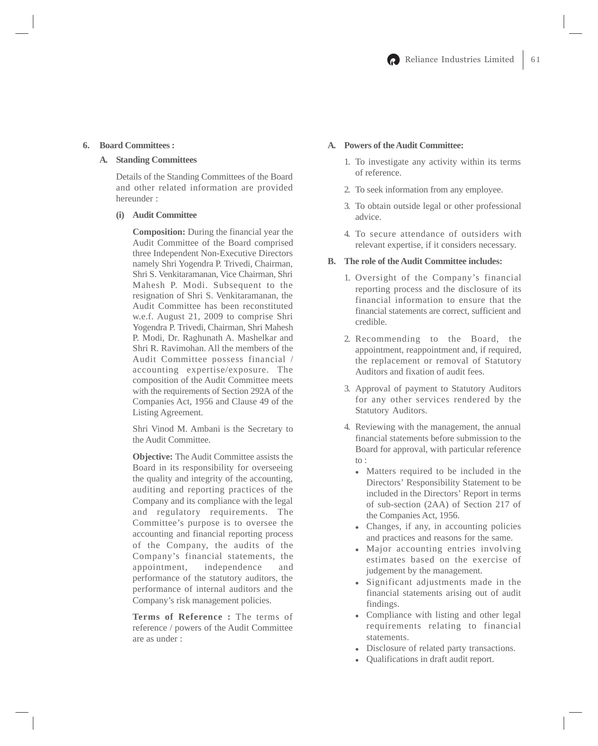## **6. Board Committees :**

## **A. Standing Committees**

Details of the Standing Committees of the Board and other related information are provided hereunder :

## **(i) Audit Committee**

**Composition:** During the financial year the Audit Committee of the Board comprised three Independent Non-Executive Directors namely Shri Yogendra P. Trivedi, Chairman, Shri S. Venkitaramanan, Vice Chairman, Shri Mahesh P. Modi. Subsequent to the resignation of Shri S. Venkitaramanan, the Audit Committee has been reconstituted w.e.f. August 21, 2009 to comprise Shri Yogendra P. Trivedi, Chairman, Shri Mahesh P. Modi, Dr. Raghunath A. Mashelkar and Shri R. Ravimohan. All the members of the Audit Committee possess financial / accounting expertise/exposure. The composition of the Audit Committee meets with the requirements of Section 292A of the Companies Act, 1956 and Clause 49 of the Listing Agreement.

Shri Vinod M. Ambani is the Secretary to the Audit Committee.

**Objective:** The Audit Committee assists the Board in its responsibility for overseeing the quality and integrity of the accounting, auditing and reporting practices of the Company and its compliance with the legal and regulatory requirements. The Committee's purpose is to oversee the accounting and financial reporting process of the Company, the audits of the Company's financial statements, the appointment, independence and performance of the statutory auditors, the performance of internal auditors and the Company's risk management policies.

**Terms of Reference :** The terms of reference / powers of the Audit Committee are as under :

# **A. Powers of the Audit Committee:**

- 1. To investigate any activity within its terms of reference.
- 2. To seek information from any employee.
- 3. To obtain outside legal or other professional advice.
- 4. To secure attendance of outsiders with relevant expertise, if it considers necessary.

#### **B. The role of the Audit Committee includes:**

- 1. Oversight of the Company's financial reporting process and the disclosure of its financial information to ensure that the financial statements are correct, sufficient and credible.
- 2. Recommending to the Board, the appointment, reappointment and, if required, the replacement or removal of Statutory Auditors and fixation of audit fees.
- 3. Approval of payment to Statutory Auditors for any other services rendered by the Statutory Auditors.
- 4. Reviewing with the management, the annual financial statements before submission to the Board for approval, with particular reference to :
	- Matters required to be included in the Directors' Responsibility Statement to be included in the Directors' Report in terms of sub-section (2AA) of Section 217 of the Companies Act, 1956.
	- Changes, if any, in accounting policies and practices and reasons for the same.
	- Major accounting entries involving estimates based on the exercise of judgement by the management.
	- Significant adjustments made in the financial statements arising out of audit findings.
	- Compliance with listing and other legal requirements relating to financial statements.
	- $\bullet$ Disclosure of related party transactions.
	- $\bullet$ Qualifications in draft audit report.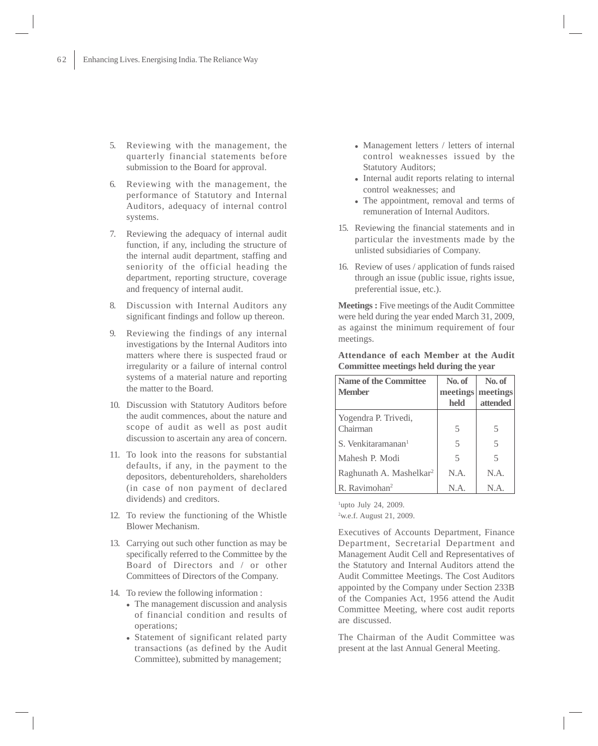- 5. Reviewing with the management, the quarterly financial statements before submission to the Board for approval.
- 6. Reviewing with the management, the performance of Statutory and Internal Auditors, adequacy of internal control systems.
- 7. Reviewing the adequacy of internal audit function, if any, including the structure of the internal audit department, staffing and seniority of the official heading the department, reporting structure, coverage and frequency of internal audit.
- 8. Discussion with Internal Auditors any significant findings and follow up thereon.
- 9. Reviewing the findings of any internal investigations by the Internal Auditors into matters where there is suspected fraud or irregularity or a failure of internal control systems of a material nature and reporting the matter to the Board.
- 10. Discussion with Statutory Auditors before the audit commences, about the nature and scope of audit as well as post audit discussion to ascertain any area of concern.
- 11. To look into the reasons for substantial defaults, if any, in the payment to the depositors, debentureholders, shareholders (in case of non payment of declared dividends) and creditors.
- 12. To review the functioning of the Whistle Blower Mechanism.
- 13. Carrying out such other function as may be specifically referred to the Committee by the Board of Directors and / or other Committees of Directors of the Company.
- 14. To review the following information :
	- The management discussion and analysis of financial condition and results of operations;
	- Statement of significant related party transactions (as defined by the Audit Committee), submitted by management;
- Management letters / letters of internal control weaknesses issued by the Statutory Auditors;
- Internal audit reports relating to internal control weaknesses; and
- The appointment, removal and terms of remuneration of Internal Auditors.
- 15. Reviewing the financial statements and in particular the investments made by the unlisted subsidiaries of Company.
- 16. Review of uses / application of funds raised through an issue (public issue, rights issue, preferential issue, etc.).

**Meetings :** Five meetings of the Audit Committee were held during the year ended March 31, 2009, as against the minimum requirement of four meetings.

| <b>Name of the Committee</b>        | No. of                   | No. of                   |
|-------------------------------------|--------------------------|--------------------------|
| <b>Member</b>                       |                          | meetings meetings        |
|                                     | held                     | attended                 |
| Yogendra P. Trivedi,                |                          |                          |
| Chairman                            | 5                        | 5                        |
| S. Venkitaramanan <sup>1</sup>      | 5                        | $\overline{\phantom{1}}$ |
| Mahesh P. Modi                      | $\overline{\mathcal{L}}$ | 5                        |
| Raghunath A. Mashelkar <sup>2</sup> | N.A.                     | N.A.                     |
| R. Ravimohan <sup>2</sup>           | N.A.                     | N.A.                     |

**Attendance of each Member at the Audit Committee meetings held during the year**

<sup>1</sup>upto July 24, 2009.

2 w.e.f. August 21, 2009.

Executives of Accounts Department, Finance Department, Secretarial Department and Management Audit Cell and Representatives of the Statutory and Internal Auditors attend the Audit Committee Meetings. The Cost Auditors appointed by the Company under Section 233B of the Companies Act, 1956 attend the Audit Committee Meeting, where cost audit reports are discussed.

The Chairman of the Audit Committee was present at the last Annual General Meeting.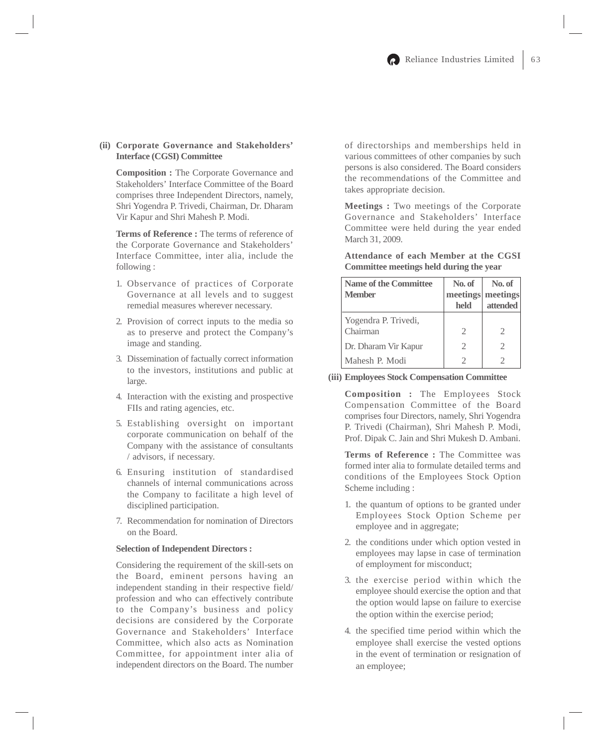## **(ii) Corporate Governance and Stakeholders' Interface (CGSI) Committee**

**Composition :** The Corporate Governance and Stakeholders' Interface Committee of the Board comprises three Independent Directors, namely, Shri Yogendra P. Trivedi, Chairman, Dr. Dharam Vir Kapur and Shri Mahesh P. Modi.

**Terms of Reference :** The terms of reference of the Corporate Governance and Stakeholders' Interface Committee, inter alia, include the following :

- 1. Observance of practices of Corporate Governance at all levels and to suggest remedial measures wherever necessary.
- 2. Provision of correct inputs to the media so as to preserve and protect the Company's image and standing.
- 3. Dissemination of factually correct information to the investors, institutions and public at large.
- 4. Interaction with the existing and prospective FIIs and rating agencies, etc.
- 5. Establishing oversight on important corporate communication on behalf of the Company with the assistance of consultants / advisors, if necessary.
- 6. Ensuring institution of standardised channels of internal communications across the Company to facilitate a high level of disciplined participation.
- 7. Recommendation for nomination of Directors on the Board.

## **Selection of Independent Directors :**

Considering the requirement of the skill-sets on the Board, eminent persons having an independent standing in their respective field/ profession and who can effectively contribute to the Company's business and policy decisions are considered by the Corporate Governance and Stakeholders' Interface Committee, which also acts as Nomination Committee, for appointment inter alia of independent directors on the Board. The number

of directorships and memberships held in various committees of other companies by such persons is also considered. The Board considers the recommendations of the Committee and takes appropriate decision.

**Meetings :** Two meetings of the Corporate Governance and Stakeholders' Interface Committee were held during the year ended March 31, 2009.

**Attendance of each Member at the CGSI Committee meetings held during the year**

| <b>Name of the Committee</b> | No. of                      | No. of            |
|------------------------------|-----------------------------|-------------------|
| <b>Member</b>                |                             | meetings meetings |
|                              | held                        | attended          |
| Yogendra P. Trivedi,         |                             |                   |
| Chairman                     | $\mathcal{D}_{\mathcal{A}}$ | 2                 |
| Dr. Dharam Vir Kapur         | 2                           | 2                 |
| Mahesh P. Modi               |                             |                   |

**(iii) Employees Stock Compensation Committee**

**Composition :** The Employees Stock Compensation Committee of the Board comprises four Directors, namely, Shri Yogendra P. Trivedi (Chairman), Shri Mahesh P. Modi, Prof. Dipak C. Jain and Shri Mukesh D. Ambani.

**Terms of Reference :** The Committee was formed inter alia to formulate detailed terms and conditions of the Employees Stock Option Scheme including :

- 1. the quantum of options to be granted under Employees Stock Option Scheme per employee and in aggregate;
- 2. the conditions under which option vested in employees may lapse in case of termination of employment for misconduct;
- 3. the exercise period within which the employee should exercise the option and that the option would lapse on failure to exercise the option within the exercise period;
- 4. the specified time period within which the employee shall exercise the vested options in the event of termination or resignation of an employee;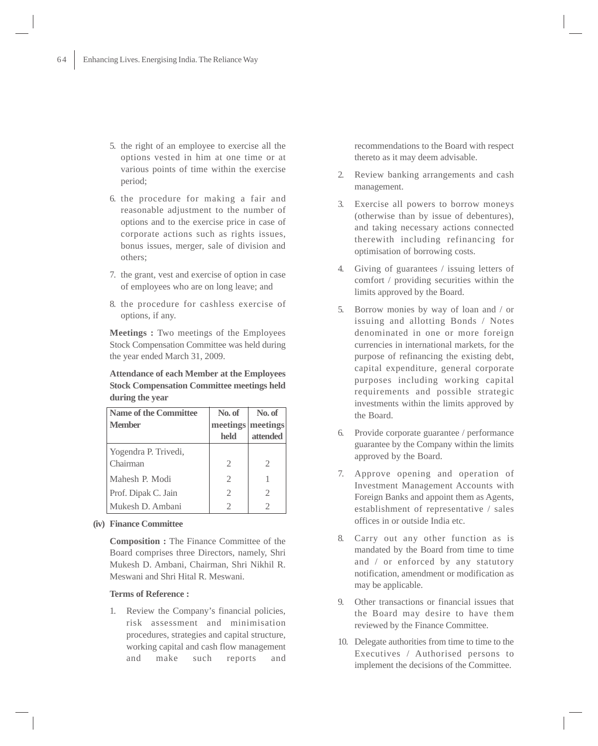- 5. the right of an employee to exercise all the options vested in him at one time or at various points of time within the exercise period;
- 6. the procedure for making a fair and reasonable adjustment to the number of options and to the exercise price in case of corporate actions such as rights issues, bonus issues, merger, sale of division and others;
- 7. the grant, vest and exercise of option in case of employees who are on long leave; and
- 8. the procedure for cashless exercise of options, if any.

**Meetings :** Two meetings of the Employees Stock Compensation Committee was held during the year ended March 31, 2009.

**Attendance of each Member at the Employees Stock Compensation Committee meetings held during the year**

| Name of the Committee | No. of                      | No. of            |
|-----------------------|-----------------------------|-------------------|
| <b>Member</b>         |                             | meetings meetings |
|                       | held                        | attended          |
| Yogendra P. Trivedi,  |                             |                   |
| Chairman              | $\mathcal{D}_{\mathcal{A}}$ | 2                 |
| Mahesh P. Modi        | $\mathcal{L}$               |                   |
| Prof. Dipak C. Jain   | 2                           | 2                 |
| Mukesh D. Ambani      |                             |                   |

**(iv) Finance Committee**

**Composition :** The Finance Committee of the Board comprises three Directors, namely, Shri Mukesh D. Ambani, Chairman, Shri Nikhil R. Meswani and Shri Hital R. Meswani.

#### **Terms of Reference :**

1. Review the Company's financial policies, risk assessment and minimisation procedures, strategies and capital structure, working capital and cash flow management and make such reports and recommendations to the Board with respect thereto as it may deem advisable.

- 2. Review banking arrangements and cash management.
- 3. Exercise all powers to borrow moneys (otherwise than by issue of debentures), and taking necessary actions connected therewith including refinancing for optimisation of borrowing costs.
- 4. Giving of guarantees / issuing letters of comfort / providing securities within the limits approved by the Board.
- 5. Borrow monies by way of loan and / or issuing and allotting Bonds / Notes denominated in one or more foreign currencies in international markets, for the purpose of refinancing the existing debt, capital expenditure, general corporate purposes including working capital requirements and possible strategic investments within the limits approved by the Board.
- 6. Provide corporate guarantee / performance guarantee by the Company within the limits approved by the Board.
- 7. Approve opening and operation of Investment Management Accounts with Foreign Banks and appoint them as Agents, establishment of representative / sales offices in or outside India etc.
- 8. Carry out any other function as is mandated by the Board from time to time and / or enforced by any statutory notification, amendment or modification as may be applicable.
- 9. Other transactions or financial issues that the Board may desire to have them reviewed by the Finance Committee.
- 10. Delegate authorities from time to time to the Executives / Authorised persons to implement the decisions of the Committee.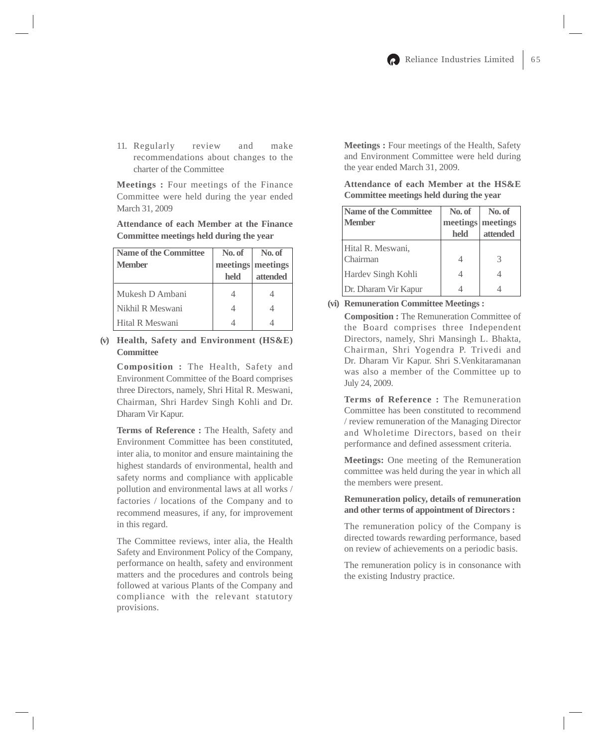11. Regularly review and make recommendations about changes to the charter of the Committee

**Meetings :** Four meetings of the Finance Committee were held during the year ended March 31, 2009

# **Attendance of each Member at the Finance Committee meetings held during the year**

| <b>Name of the Committee</b> | No. of | No. of            |
|------------------------------|--------|-------------------|
| <b>Member</b>                |        | meetings meetings |
|                              | held   | attended          |
| Mukesh D Ambani              |        |                   |
| Nikhil R Meswani             |        |                   |
| Hital R Meswani              |        |                   |

# **(v) Health, Safety and Environment (HS&E) Committee**

**Composition :** The Health, Safety and Environment Committee of the Board comprises three Directors, namely, Shri Hital R. Meswani, Chairman, Shri Hardev Singh Kohli and Dr. Dharam Vir Kapur.

**Terms of Reference :** The Health, Safety and Environment Committee has been constituted, inter alia, to monitor and ensure maintaining the highest standards of environmental, health and safety norms and compliance with applicable pollution and environmental laws at all works / factories / locations of the Company and to recommend measures, if any, for improvement in this regard.

The Committee reviews, inter alia, the Health Safety and Environment Policy of the Company, performance on health, safety and environment matters and the procedures and controls being followed at various Plants of the Company and compliance with the relevant statutory provisions.

**Meetings :** Four meetings of the Health, Safety and Environment Committee were held during the year ended March 31, 2009.

**Attendance of each Member at the HS&E Committee meetings held during the year**

| <b>Name of the Committee</b> | No. of | No. of            |
|------------------------------|--------|-------------------|
| <b>Member</b>                |        | meetings meetings |
|                              | held   | attended          |
| Hital R. Meswani,            |        |                   |
| Chairman                     |        |                   |
| Hardev Singh Kohli           |        |                   |
| Dr. Dharam Vir Kapur         |        |                   |

**(vi) Remuneration Committee Meetings :**

**Composition :** The Remuneration Committee of the Board comprises three Independent Directors, namely, Shri Mansingh L. Bhakta, Chairman, Shri Yogendra P. Trivedi and Dr. Dharam Vir Kapur. Shri S.Venkitaramanan was also a member of the Committee up to July 24, 2009.

**Terms of Reference :** The Remuneration Committee has been constituted to recommend / review remuneration of the Managing Director and Wholetime Directors, based on their performance and defined assessment criteria.

**Meetings:** One meeting of the Remuneration committee was held during the year in which all the members were present.

# **Remuneration policy, details of remuneration and other terms of appointment of Directors :**

The remuneration policy of the Company is directed towards rewarding performance, based on review of achievements on a periodic basis.

The remuneration policy is in consonance with the existing Industry practice.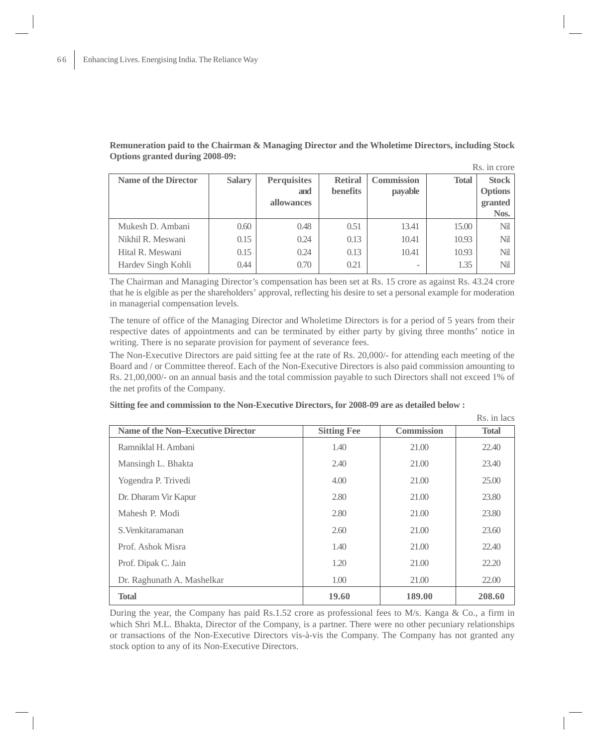**Remuneration paid to the Chairman & Managing Director and the Wholetime Directors, including Stock Options granted during 2008-09:**

|                             |               |                    |                 |                   |              | Rs. in crore |
|-----------------------------|---------------|--------------------|-----------------|-------------------|--------------|--------------|
| <b>Name of the Director</b> | <b>Salary</b> | <b>Perquisites</b> | <b>Retiral</b>  | <b>Commission</b> | <b>Total</b> | Stock        |
|                             |               | and                | <b>benefits</b> | payable           |              | Options      |
|                             |               | allowances         |                 |                   |              | granted      |
|                             |               |                    |                 |                   |              | Nos.         |
| Mukesh D. Ambani            | 0.60          | 0.48               | 0.51            | 13.41             | 15.00        | Nil          |
| Nikhil R. Meswani           | 0.15          | 0.24               | 0.13            | 10.41             | 10.93        | Nil          |
| Hital R. Meswani            | 0.15          | 0.24               | 0.13            | 10.41             | 10.93        | Nil          |
| Hardev Singh Kohli          | 0.44          | 0.70               | 0.21            |                   | 1.35         | Nil          |

The Chairman and Managing Director's compensation has been set at Rs. 15 crore as against Rs. 43.24 crore that he is elgible as per the shareholders' approval, reflecting his desire to set a personal example for moderation in managerial compensation levels.

The tenure of office of the Managing Director and Wholetime Directors is for a period of 5 years from their respective dates of appointments and can be terminated by either party by giving three months' notice in writing. There is no separate provision for payment of severance fees.

The Non-Executive Directors are paid sitting fee at the rate of Rs. 20,000/- for attending each meeting of the Board and / or Committee thereof. Each of the Non-Executive Directors is also paid commission amounting to Rs. 21,00,000/- on an annual basis and the total commission payable to such Directors shall not exceed 1% of the net profits of the Company.

 $D_0$  in lace

| <b>Name of the Non–Executive Director</b> | <b>Sitting Fee</b> | Commission | <b>Total</b> |
|-------------------------------------------|--------------------|------------|--------------|
| Ramniklal H. Ambani                       | 1.40               | 21.00      | 22.40        |
| Mansingh L. Bhakta                        | 2.40               | 21.00      | 23.40        |
| Yogendra P. Trivedi                       | 4.00               | 21.00      | 25.00        |
| Dr. Dharam Vir Kapur                      | 2.80               | 21.00      | 23.80        |
| Mahesh P. Modi                            | 2.80               | 21.00      | 23.80        |
| S. Venkitaramanan                         | 2.60               | 21.00      | 23.60        |
| Prof. Ashok Misra                         | 1.40               | 21.00      | 22.40        |
| Prof. Dipak C. Jain                       | 1.20               | 21.00      | 22.20        |
| Dr. Raghunath A. Mashelkar                | 1.00               | 21.00      | 22.00        |
| <b>Total</b>                              | 19.60              | 189.00     | 208.60       |

**Sitting fee and commission to the Non-Executive Directors, for 2008-09 are as detailed below :**

During the year, the Company has paid Rs.1.52 crore as professional fees to M/s. Kanga & Co., a firm in which Shri M.L. Bhakta, Director of the Company, is a partner. There were no other pecuniary relationships or transactions of the Non-Executive Directors vis-à-vis the Company. The Company has not granted any stock option to any of its Non-Executive Directors.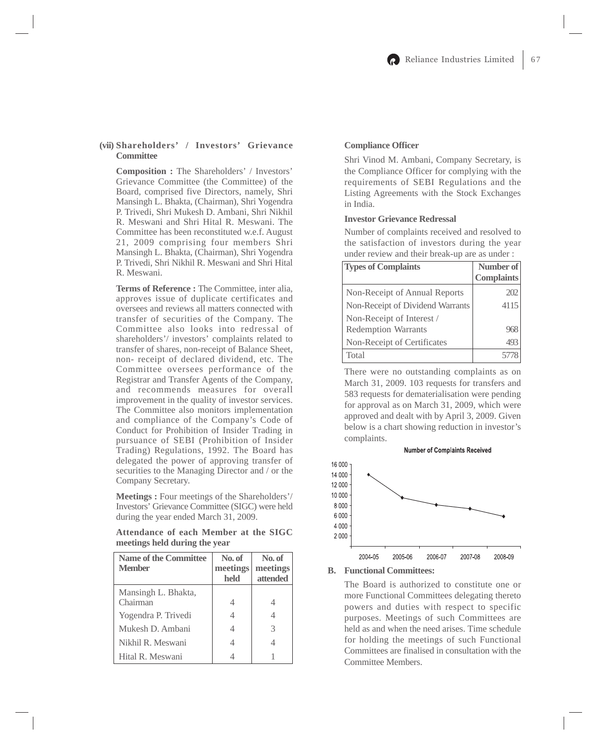## **(vii) Shareholders' / Investors' Grievance Committee**

**Composition :** The Shareholders' / Investors' Grievance Committee (the Committee) of the Board, comprised five Directors, namely, Shri Mansingh L. Bhakta, (Chairman), Shri Yogendra P. Trivedi, Shri Mukesh D. Ambani, Shri Nikhil R. Meswani and Shri Hital R. Meswani. The Committee has been reconstituted w.e.f. August 21, 2009 comprising four members Shri Mansingh L. Bhakta, (Chairman), Shri Yogendra P. Trivedi, Shri Nikhil R. Meswani and Shri Hital R. Meswani.

**Terms of Reference :** The Committee, inter alia, approves issue of duplicate certificates and oversees and reviews all matters connected with transfer of securities of the Company. The Committee also looks into redressal of shareholders'/ investors' complaints related to transfer of shares, non-receipt of Balance Sheet, non- receipt of declared dividend, etc. The Committee oversees performance of the Registrar and Transfer Agents of the Company, and recommends measures for overall improvement in the quality of investor services. The Committee also monitors implementation and compliance of the Company's Code of Conduct for Prohibition of Insider Trading in pursuance of SEBI (Prohibition of Insider Trading) Regulations, 1992. The Board has delegated the power of approving transfer of securities to the Managing Director and / or the Company Secretary.

**Meetings :** Four meetings of the Shareholders'/ Investors' Grievance Committee (SIGC) were held during the year ended March 31, 2009.

**Attendance of each Member at the SIGC meetings held during the year**

| <b>Name of the Committee</b><br><b>Member</b> | No. of<br>meetings<br>held | No. of<br>meetings<br>attended |
|-----------------------------------------------|----------------------------|--------------------------------|
| Mansingh L. Bhakta,<br>Chairman               |                            |                                |
| Yogendra P. Trivedi                           |                            |                                |
| Mukesh D. Ambani                              |                            | 3                              |
| Nikhil R. Meswani                             |                            | 4                              |
| Hital R. Meswani                              |                            |                                |

## **Compliance Officer**

Shri Vinod M. Ambani, Company Secretary, is the Compliance Officer for complying with the requirements of SEBI Regulations and the Listing Agreements with the Stock Exchanges in India.

## **Investor Grievance Redressal**

Number of complaints received and resolved to the satisfaction of investors during the year under review and their break-up are as under :

| <b>Types of Complaints</b>       | Number of         |
|----------------------------------|-------------------|
|                                  | <b>Complaints</b> |
| Non-Receipt of Annual Reports    |                   |
| Non-Receipt of Dividend Warrants | 4115              |
| Non-Receipt of Interest /        |                   |
| <b>Redemption Warrants</b>       |                   |
| Non-Receipt of Certificates      |                   |
| Total                            |                   |

There were no outstanding complaints as on March 31, 2009. 103 requests for transfers and 583 requests for dematerialisation were pending for approval as on March 31, 2009, which were approved and dealt with by April 3, 2009. Given below is a chart showing reduction in investor's complaints.



#### **B. Functional Committees:**

The Board is authorized to constitute one or more Functional Committees delegating thereto powers and duties with respect to specific purposes. Meetings of such Committees are held as and when the need arises. Time schedule for holding the meetings of such Functional Committees are finalised in consultation with the Committee Members.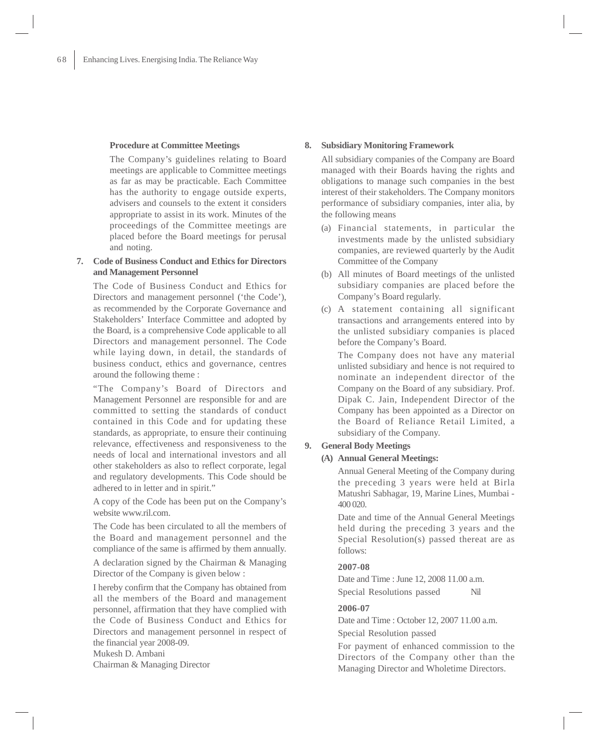#### **Procedure at Committee Meetings**

The Company's guidelines relating to Board meetings are applicable to Committee meetings as far as may be practicable. Each Committee has the authority to engage outside experts, advisers and counsels to the extent it considers appropriate to assist in its work. Minutes of the proceedings of the Committee meetings are placed before the Board meetings for perusal and noting.

# **7. Code of Business Conduct and Ethics for Directors and Management Personnel**

The Code of Business Conduct and Ethics for Directors and management personnel ('the Code'), as recommended by the Corporate Governance and Stakeholders' Interface Committee and adopted by the Board, is a comprehensive Code applicable to all Directors and management personnel. The Code while laying down, in detail, the standards of business conduct, ethics and governance, centres around the following theme :

"The Company's Board of Directors and Management Personnel are responsible for and are committed to setting the standards of conduct contained in this Code and for updating these standards, as appropriate, to ensure their continuing relevance, effectiveness and responsiveness to the needs of local and international investors and all other stakeholders as also to reflect corporate, legal and regulatory developments. This Code should be adhered to in letter and in spirit."

A copy of the Code has been put on the Company's website www.ril.com.

The Code has been circulated to all the members of the Board and management personnel and the compliance of the same is affirmed by them annually.

A declaration signed by the Chairman & Managing Director of the Company is given below :

I hereby confirm that the Company has obtained from all the members of the Board and management personnel, affirmation that they have complied with the Code of Business Conduct and Ethics for Directors and management personnel in respect of the financial year 2008-09.

Mukesh D. Ambani Chairman & Managing Director

#### **8. Subsidiary Monitoring Framework**

All subsidiary companies of the Company are Board managed with their Boards having the rights and obligations to manage such companies in the best interest of their stakeholders. The Company monitors performance of subsidiary companies, inter alia, by the following means

- (a) Financial statements, in particular the investments made by the unlisted subsidiary companies, are reviewed quarterly by the Audit Committee of the Company
- (b) All minutes of Board meetings of the unlisted subsidiary companies are placed before the Company's Board regularly.
- (c) A statement containing all significant transactions and arrangements entered into by the unlisted subsidiary companies is placed before the Company's Board.

The Company does not have any material unlisted subsidiary and hence is not required to nominate an independent director of the Company on the Board of any subsidiary. Prof. Dipak C. Jain, Independent Director of the Company has been appointed as a Director on the Board of Reliance Retail Limited, a subsidiary of the Company.

#### **9. General Body Meetings**

## **(A) Annual General Meetings:**

Annual General Meeting of the Company during the preceding 3 years were held at Birla Matushri Sabhagar, 19, Marine Lines, Mumbai - 400 020.

Date and time of the Annual General Meetings held during the preceding 3 years and the Special Resolution(s) passed thereat are as follows:

#### **2007-08**

Date and Time : June 12, 2008 11.00 a.m. Special Resolutions passed Nil

## **2006-07**

Date and Time : October 12, 2007 11.00 a.m. Special Resolution passed

For payment of enhanced commission to the Directors of the Company other than the Managing Director and Wholetime Directors.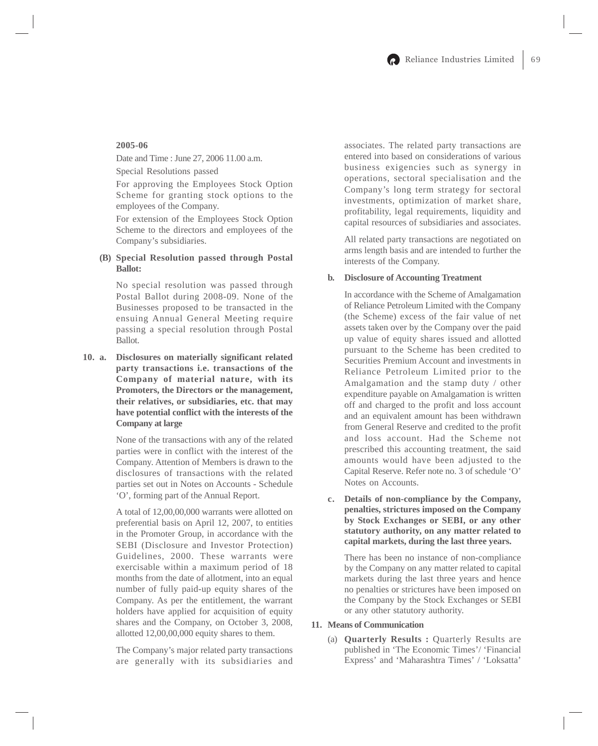## **2005-06**

Date and Time : June 27, 2006 11.00 a.m.

Special Resolutions passed

For approving the Employees Stock Option Scheme for granting stock options to the employees of the Company.

For extension of the Employees Stock Option Scheme to the directors and employees of the Company's subsidiaries.

## **(B) Special Resolution passed through Postal Ballot:**

No special resolution was passed through Postal Ballot during 2008-09. None of the Businesses proposed to be transacted in the ensuing Annual General Meeting require passing a special resolution through Postal Ballot.

**10. a. Disclosures on materially significant related party transactions i.e. transactions of the Company of material nature, with its Promoters, the Directors or the management, their relatives, or subsidiaries, etc. that may have potential conflict with the interests of the Company at large**

> None of the transactions with any of the related parties were in conflict with the interest of the Company. Attention of Members is drawn to the disclosures of transactions with the related parties set out in Notes on Accounts - Schedule 'O', forming part of the Annual Report.

> A total of 12,00,00,000 warrants were allotted on preferential basis on April 12, 2007, to entities in the Promoter Group, in accordance with the SEBI (Disclosure and Investor Protection) Guidelines, 2000. These warrants were exercisable within a maximum period of 18 months from the date of allotment, into an equal number of fully paid-up equity shares of the Company. As per the entitlement, the warrant holders have applied for acquisition of equity shares and the Company, on October 3, 2008, allotted 12,00,00,000 equity shares to them.

The Company's major related party transactions are generally with its subsidiaries and associates. The related party transactions are entered into based on considerations of various business exigencies such as synergy in operations, sectoral specialisation and the Company's long term strategy for sectoral investments, optimization of market share, profitability, legal requirements, liquidity and capital resources of subsidiaries and associates.

All related party transactions are negotiated on arms length basis and are intended to further the interests of the Company.

#### **b. Disclosure of Accounting Treatment**

In accordance with the Scheme of Amalgamation of Reliance Petroleum Limited with the Company (the Scheme) excess of the fair value of net assets taken over by the Company over the paid up value of equity shares issued and allotted pursuant to the Scheme has been credited to Securities Premium Account and investments in Reliance Petroleum Limited prior to the Amalgamation and the stamp duty / other expenditure payable on Amalgamation is written off and charged to the profit and loss account and an equivalent amount has been withdrawn from General Reserve and credited to the profit and loss account. Had the Scheme not prescribed this accounting treatment, the said amounts would have been adjusted to the Capital Reserve. Refer note no. 3 of schedule 'O' Notes on Accounts.

**c. Details of non-compliance by the Company, penalties, strictures imposed on the Company by Stock Exchanges or SEBI, or any other statutory authority, on any matter related to capital markets, during the last three years.**

There has been no instance of non-compliance by the Company on any matter related to capital markets during the last three years and hence no penalties or strictures have been imposed on the Company by the Stock Exchanges or SEBI or any other statutory authority.

## **11. Means of Communication**

(a) **Quarterly Results :** Quarterly Results are published in 'The Economic Times'/ 'Financial Express' and 'Maharashtra Times' / 'Loksatta'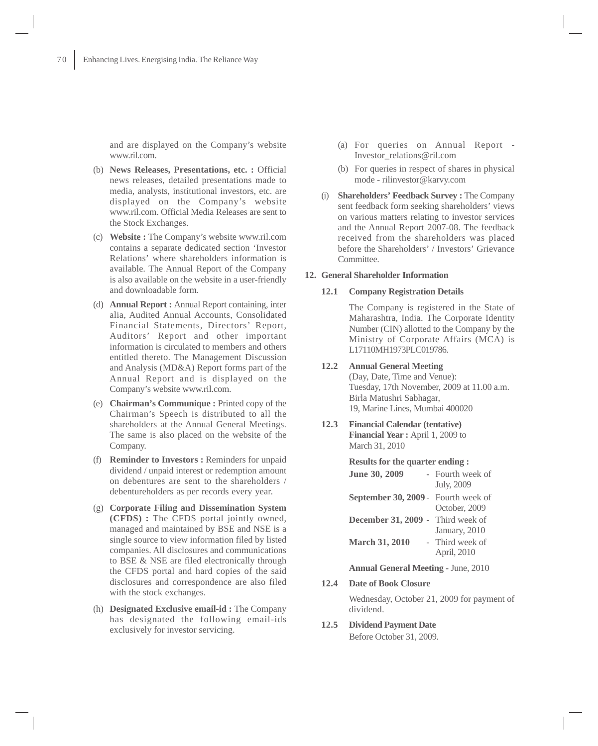and are displayed on the Company's website www.ril.com.

- (b) **News Releases, Presentations, etc. :** Official news releases, detailed presentations made to media, analysts, institutional investors, etc. are displayed on the Company's website www.ril.com. Official Media Releases are sent to the Stock Exchanges.
- (c) **Website :** The Company's website www.ril.com contains a separate dedicated section 'Investor Relations' where shareholders information is available. The Annual Report of the Company is also available on the website in a user-friendly and downloadable form.
- (d) **Annual Report :** Annual Report containing, inter alia, Audited Annual Accounts, Consolidated Financial Statements, Directors' Report, Auditors' Report and other important information is circulated to members and others entitled thereto. The Management Discussion and Analysis (MD&A) Report forms part of the Annual Report and is displayed on the Company's website www.ril.com.
- (e) **Chairman's Communique :** Printed copy of the Chairman's Speech is distributed to all the shareholders at the Annual General Meetings. The same is also placed on the website of the Company.
- (f) **Reminder to Investors :** Reminders for unpaid dividend / unpaid interest or redemption amount on debentures are sent to the shareholders / debentureholders as per records every year.
- (g) **Corporate Filing and Dissemination System (CFDS) :** The CFDS portal jointly owned, managed and maintained by BSE and NSE is a single source to view information filed by listed companies. All disclosures and communications to BSE & NSE are filed electronically through the CFDS portal and hard copies of the said disclosures and correspondence are also filed with the stock exchanges.
- (h) **Designated Exclusive email-id :** The Company has designated the following email-ids exclusively for investor servicing.
- (a) For queries on Annual Report Investor\_relations@ril.com
- (b) For queries in respect of shares in physical mode - rilinvestor@karvy.com
- (i) **Shareholders' Feedback Survey :** The Company sent feedback form seeking shareholders' views on various matters relating to investor services and the Annual Report 2007-08. The feedback received from the shareholders was placed before the Shareholders' / Investors' Grievance Committee.

#### **12. General Shareholder Information**

## **12.1 Company Registration Details**

The Company is registered in the State of Maharashtra, India. The Corporate Identity Number (CIN) allotted to the Company by the Ministry of Corporate Affairs (MCA) is L17110MH1973PLC019786.

## **12.2 Annual General Meeting**

(Day, Date, Time and Venue): Tuesday, 17th November, 2009 at 11.00 a.m. Birla Matushri Sabhagar, 19, Marine Lines, Mumbai 400020

**12.3 Financial Calendar (tentative) Financial Year :** April 1, 2009 to March 31, 2010

#### **Results for the quarter ending :**

| June 30, 2009                              | - Fourth week of<br>July, 2009 |
|--------------------------------------------|--------------------------------|
| <b>September 30, 2009 - Fourth week of</b> | October, 2009                  |
| <b>December 31, 2009 - Third week of</b>   | January, 2010                  |
| <b>March 31, 2010</b>                      | - Third week of<br>April, 2010 |

**Annual General Meeting -** June, 2010

**12.4 Date of Book Closure**

Wednesday, October 21, 2009 for payment of dividend.

**12.5 Dividend Payment Date** Before October 31, 2009.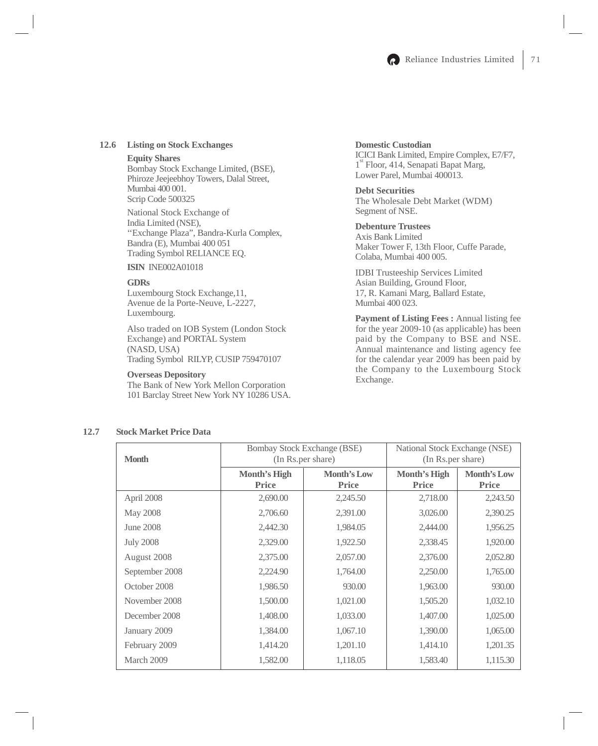

## **12.6 Listing on Stock Exchanges**

#### **Equity Shares**

Bombay Stock Exchange Limited, (BSE), Phiroze Jeejeebhoy Towers, Dalal Street, Mumbai 400 001. Scrip Code 500325

National Stock Exchange of India Limited (NSE), ''Exchange Plaza", Bandra-Kurla Complex, Bandra (E), Mumbai 400 051 Trading Symbol RELIANCE EQ.

**ISIN** INE002A01018

#### **GDRs**

Luxembourg Stock Exchange,11, Avenue de la Porte-Neuve, L-2227, Luxembourg.

Also traded on IOB System (London Stock Exchange) and PORTAL System (NASD, USA) Trading Symbol RILYP, CUSIP 759470107

#### **Overseas Depository**

The Bank of New York Mellon Corporation 101 Barclay Street New York NY 10286 USA.

# **Domestic Custodian**

ICICI Bank Limited, Empire Complex, E7/F7, 1<sup>st</sup> Floor, 414, Senapati Bapat Marg, Lower Parel, Mumbai 400013.

## **Debt Securities**

The Wholesale Debt Market (WDM) Segment of NSE.

## **Debenture Trustees**

Axis Bank Limited Maker Tower F, 13th Floor, Cuffe Parade, Colaba, Mumbai 400 005.

IDBI Trusteeship Services Limited Asian Building, Ground Floor, 17, R. Kamani Marg, Ballard Estate, Mumbai 400 023.

**Payment of Listing Fees :** Annual listing fee for the year 2009-10 (as applicable) has been paid by the Company to BSE and NSE. Annual maintenance and listing agency fee for the calendar year 2009 has been paid by the Company to the Luxembourg Stock Exchange.

# **12.7 Stock Market Price Data**

| <b>Month</b>     | <b>Bombay Stock Exchange (BSE)</b><br>(In Rs.per share) |                                    | National Stock Exchange (NSE)<br>(In Rs.per share) |                                    |
|------------------|---------------------------------------------------------|------------------------------------|----------------------------------------------------|------------------------------------|
|                  | Month's High<br><b>Price</b>                            | <b>Month's Low</b><br><b>Price</b> | Month's High<br><b>Price</b>                       | <b>Month's Low</b><br><b>Price</b> |
| April 2008       | 2,690.00                                                | 2,245.50                           | 2,718.00                                           | 2,243.50                           |
| May 2008         | 2,706.60                                                | 2,391.00                           | 3,026.00                                           | 2,390.25                           |
| June 2008        | 2,442.30                                                | 1,984.05                           | 2,444.00                                           | 1,956.25                           |
| <b>July 2008</b> | 2,329.00                                                | 1,922.50                           | 2,338.45                                           | 1,920.00                           |
| August 2008      | 2,375.00                                                | 2,057.00                           | 2,376.00                                           | 2,052.80                           |
| September 2008   | 2,224.90                                                | 1,764.00                           | 2,250.00                                           | 1,765.00                           |
| October 2008     | 1,986.50                                                | 930.00                             | 1,963.00                                           | 930.00                             |
| November 2008    | 1,500.00                                                | 1,021.00                           | 1,505.20                                           | 1,032.10                           |
| December 2008    | 1,408.00                                                | 1,033.00                           | 1,407.00                                           | 1,025.00                           |
| January 2009     | 1,384.00                                                | 1,067.10                           | 1,390.00                                           | 1,065.00                           |
| February 2009    | 1,414.20                                                | 1,201.10                           | 1,414.10                                           | 1,201.35                           |
| March 2009       | 1,582.00                                                | 1,118.05                           | 1,583.40                                           | 1,115.30                           |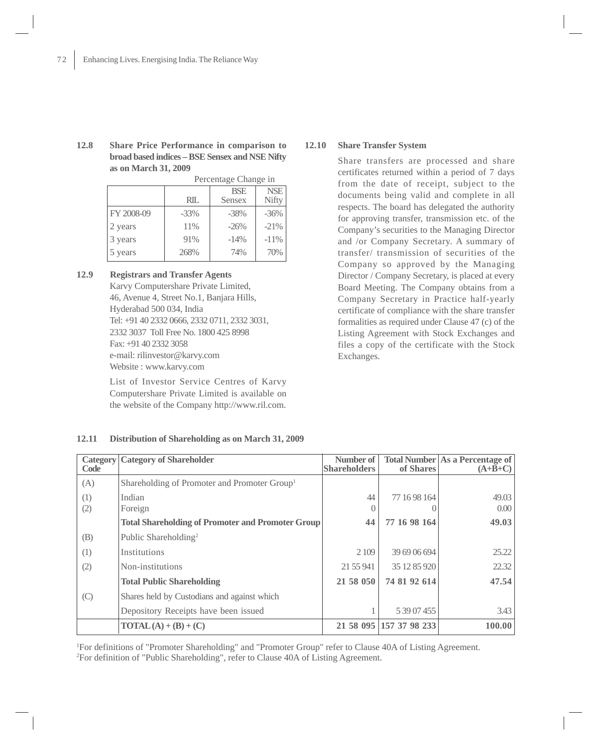**12.8 Share Price Performance in comparison to broad based indices – BSE Sensex and NSE Nifty as on March 31, 2009** Percentage Change in

|            | Percentage Change in |                      |                     |
|------------|----------------------|----------------------|---------------------|
|            | <b>RIL</b>           | <b>BSE</b><br>Sensex | <b>NSE</b><br>Nifty |
| FY 2008-09 | $-33\%$              | $-38%$               | $-36\%$             |
| 2 years    | 11%                  | $-26%$               | $-21%$              |
| 3 years    | 91%                  | $-14%$               | $-11\%$             |
| 5 years    | 268%                 | 74%                  | 70%                 |

# **12.9 Registrars and Transfer Agents**

Karvy Computershare Private Limited, 46, Avenue 4, Street No.1, Banjara Hills, Hyderabad 500 034, India Tel: +91 40 2332 0666, 2332 0711, 2332 3031, 2332 3037 Toll Free No. 1800 425 8998 Fax: +91 40 2332 3058 e-mail: rilinvestor@karvy.com Website : www.karvy.com

List of Investor Service Centres of Karvy Computershare Private Limited is available on the website of the Company http://www.ril.com.

# **12.10 Share Transfer System**

Share transfers are processed and share certificates returned within a period of 7 days from the date of receipt, subject to the documents being valid and complete in all respects. The board has delegated the authority for approving transfer, transmission etc. of the Company's securities to the Managing Director and /or Company Secretary. A summary of transfer/ transmission of securities of the Company so approved by the Managing Director / Company Secretary, is placed at every Board Meeting. The Company obtains from a Company Secretary in Practice half-yearly certificate of compliance with the share transfer formalities as required under Clause 47 (c) of the Listing Agreement with Stock Exchanges and files a copy of the certificate with the Stock Exchanges.

| Category<br>Code | <b>Category of Shareholder</b>                           | Number of<br><b>Shareholders</b> | of Shares               | <b>Total Number As a Percentage of</b><br>$(A+B+C)$ |
|------------------|----------------------------------------------------------|----------------------------------|-------------------------|-----------------------------------------------------|
| (A)              | Shareholding of Promoter and Promoter Group <sup>1</sup> |                                  |                         |                                                     |
| (1)              | Indian                                                   | 44                               | 77 16 98 164            | 49.03                                               |
| (2)              | Foreign                                                  |                                  |                         | 0.00                                                |
|                  | <b>Total Shareholding of Promoter and Promoter Group</b> | 44                               | 77 16 98 164            | 49.03                                               |
| (B)              | Public Shareholding <sup>2</sup>                         |                                  |                         |                                                     |
| (1)              | Institutions                                             | 2 1 0 9                          | 39 69 06 694            | 25.22                                               |
| (2)              | Non-institutions                                         | 21 55 941                        | 35 12 85 920            | 22.32                                               |
|                  | <b>Total Public Shareholding</b>                         | 21 58 050                        | 74 81 92 614            | 47.54                                               |
| (C)              | Shares held by Custodians and against which              |                                  |                         |                                                     |
|                  | Depository Receipts have been issued                     |                                  | 5 39 07 455             | 3.43                                                |
|                  | $\text{TOTAL}(\text{A}) + (\text{B}) + (\text{C})$       |                                  | 21 58 095 157 37 98 233 | 100.00                                              |

#### **12.11 Distribution of Shareholding as on March 31, 2009**

1 For definitions of "Promoter Shareholding" and "Promoter Group" refer to Clause 40A of Listing Agreement. 2 For definition of "Public Shareholding", refer to Clause 40A of Listing Agreement.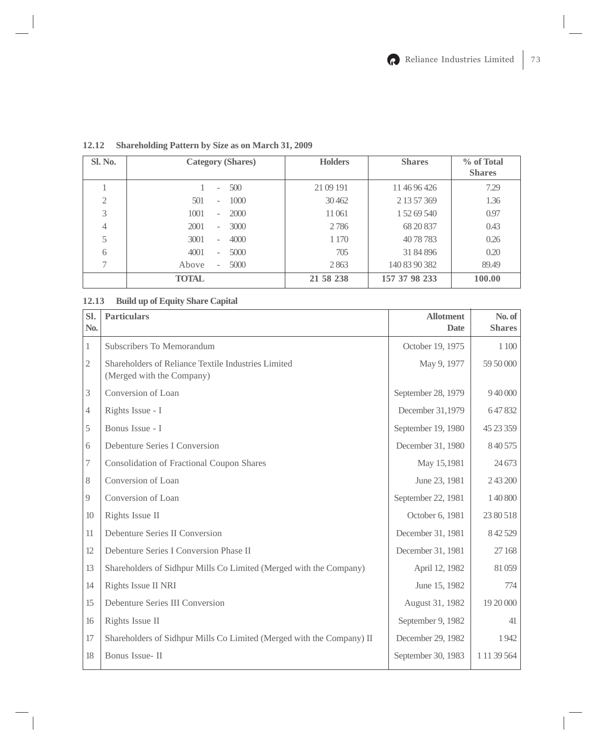| Sl. No.       | <b>Category (Shares)</b>                  | <b>Holders</b> | <b>Shares</b> | % of Total<br><b>Shares</b> |
|---------------|-------------------------------------------|----------------|---------------|-----------------------------|
|               | 500<br>۰                                  | 21 09 191      | 11 46 96 426  | 7.29                        |
| $\mathcal{L}$ | 1000<br>501<br>$\equiv$                   | 30462          | 2 13 57 369   | 1.36                        |
| 3             | 1001<br>2000<br>$\overline{\phantom{0}}$  | 11061          | 1 52 69 540   | 0.97                        |
| 4             | 2001<br>3000<br>$\overline{\phantom{a}}$  | 2786           | 68 20 837     | 0.43                        |
| 5             | 3001<br>4000<br>$\overline{\phantom{0}}$  | 1 1 7 0        | 4078783       | 0.26                        |
| 6             | 4001<br>5000<br>٠                         | 705            | 31 84 896     | 0.20                        |
|               | 5000<br>Above<br>$\overline{\phantom{a}}$ | 2863           | 140 83 90 382 | 89.49                       |
|               | <b>TOTAL</b>                              | 21 58 238      | 157 37 98 233 | 100.00                      |

**12.12 Shareholding Pattern by Size as on March 31, 2009**

# **12.13 Build up of Equity Share Capital**

| Sl.<br>No.     | <b>Particulars</b>                                                               | <b>Allotment</b><br><b>Date</b> | No. of<br><b>Shares</b> |
|----------------|----------------------------------------------------------------------------------|---------------------------------|-------------------------|
| 1              | Subscribers To Memorandum                                                        | October 19, 1975                | 1 100                   |
| 2              | Shareholders of Reliance Textile Industries Limited<br>(Merged with the Company) | May 9, 1977                     | 59 50 000               |
| 3              | Conversion of Loan                                                               | September 28, 1979              | 9 40 000                |
| $\overline{4}$ | Rights Issue - I                                                                 | December 31,1979                | 647832                  |
| 5              | Bonus Issue - I                                                                  | September 19, 1980              | 45 23 359               |
| 6              | Debenture Series I Conversion                                                    | December 31, 1980               | 8 40 5 75               |
| 7              | <b>Consolidation of Fractional Coupon Shares</b>                                 | May 15,1981                     | 24 673                  |
| 8              | Conversion of Loan                                                               | June 23, 1981                   | 2 43 200                |
| 9              | Conversion of Loan                                                               | September 22, 1981              | 1 40 800                |
| 10             | Rights Issue II                                                                  | October 6, 1981                 | 23 80 518               |
| 11             | Debenture Series II Conversion                                                   | December 31, 1981               | 8 42 5 29               |
| 12             | Debenture Series I Conversion Phase II                                           | December 31, 1981               | 27 168                  |
| 13             | Shareholders of Sidhpur Mills Co Limited (Merged with the Company)               | April 12, 1982                  | 81 059                  |
| 14             | Rights Issue II NRI                                                              | June 15, 1982                   | 774                     |
| 15             | Debenture Series III Conversion                                                  | August 31, 1982                 | 19 20 000               |
| 16             | Rights Issue II                                                                  | September 9, 1982               | 41                      |
| 17             | Shareholders of Sidhpur Mills Co Limited (Merged with the Company) II            | December 29, 1982               | 1942                    |
| 18             | Bonus Issue-II                                                                   | September 30, 1983              | 1 11 39 564             |
|                |                                                                                  |                                 |                         |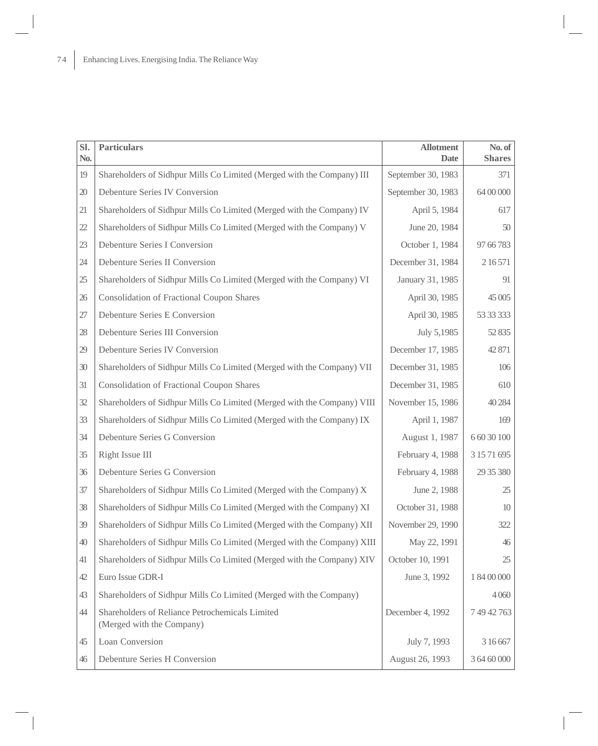| Sl.<br>No. | <b>Particulars</b>                                                           | <b>Allotment</b><br><b>Date</b> | No. of<br><b>Shares</b> |
|------------|------------------------------------------------------------------------------|---------------------------------|-------------------------|
| 19         | Shareholders of Sidhpur Mills Co Limited (Merged with the Company) III       | September 30, 1983              | 371                     |
| 20         | Debenture Series IV Conversion                                               | September 30, 1983              | 64 00 000               |
| 21         | Shareholders of Sidhpur Mills Co Limited (Merged with the Company) IV        | April 5, 1984                   | 617                     |
| 22         | Shareholders of Sidhpur Mills Co Limited (Merged with the Company) V         | June 20, 1984                   | 50                      |
| 23         | Debenture Series I Conversion                                                | October 1, 1984                 | 97 66 783               |
| 24         | Debenture Series II Conversion                                               | December 31, 1984               | 2 16 571                |
| 25         | Shareholders of Sidhpur Mills Co Limited (Merged with the Company) VI        | January 31, 1985                | 91                      |
| 26         | <b>Consolidation of Fractional Coupon Shares</b>                             | April 30, 1985                  | 45 005                  |
| 27         | Debenture Series E Conversion                                                | April 30, 1985                  | 53 33 333               |
| 28         | Debenture Series III Conversion                                              | July 5,1985                     | 52 835                  |
| 29         | Debenture Series IV Conversion                                               | December 17, 1985               | 42 871                  |
| 30         | Shareholders of Sidhpur Mills Co Limited (Merged with the Company) VII       | December 31, 1985               | 106                     |
| 31         | <b>Consolidation of Fractional Coupon Shares</b>                             | December 31, 1985               | 610                     |
| 32         | Shareholders of Sidhpur Mills Co Limited (Merged with the Company) VIII      | November 15, 1986               | 40 284                  |
| 33         | Shareholders of Sidhpur Mills Co Limited (Merged with the Company) IX        | April 1, 1987                   | 169                     |
| 34         | Debenture Series G Conversion                                                | August 1, 1987                  | 6 60 30 100             |
| 35         | Right Issue III                                                              | February 4, 1988                | 3 15 71 695             |
| 36         | Debenture Series G Conversion                                                | February 4, 1988                | 29 35 380               |
| 37         | Shareholders of Sidhpur Mills Co Limited (Merged with the Company) X         | June 2, 1988                    | 25                      |
| 38         | Shareholders of Sidhpur Mills Co Limited (Merged with the Company) XI        | October 31, 1988                | 10                      |
| 39         | Shareholders of Sidhpur Mills Co Limited (Merged with the Company) XII       | November 29, 1990               | 322                     |
| 40         | Shareholders of Sidhpur Mills Co Limited (Merged with the Company) XIII      | May 22, 1991                    | $46$                    |
| 41         | Shareholders of Sidhpur Mills Co Limited (Merged with the Company) XIV       | October 10, 1991                | 25                      |
| 42         | Euro Issue GDR-I                                                             | June 3, 1992                    | 1 84 00 000             |
| 43         | Shareholders of Sidhpur Mills Co Limited (Merged with the Company)           |                                 | 4 0 6 0                 |
| 44         | Shareholders of Reliance Petrochemicals Limited<br>(Merged with the Company) | December 4, 1992                | 7 49 42 763             |
| 45         | Loan Conversion                                                              | July 7, 1993                    | 3 16 667                |
| 46         | Debenture Series H Conversion                                                | August 26, 1993                 | 3 64 60 000             |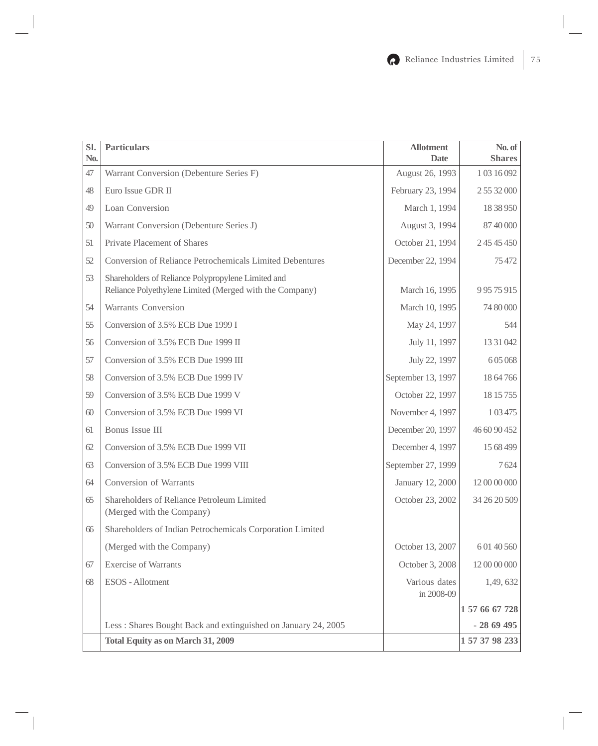| Sl.<br>No. | <b>Particulars</b>                                                                                            | <b>Allotment</b><br><b>Date</b> | No. of<br><b>Shares</b> |
|------------|---------------------------------------------------------------------------------------------------------------|---------------------------------|-------------------------|
| 47         | Warrant Conversion (Debenture Series F)                                                                       | August 26, 1993                 | 103 16 092              |
| 48         | Euro Issue GDR II                                                                                             | February 23, 1994               | 2 55 32 000             |
| 49         | Loan Conversion                                                                                               | March 1, 1994                   | 18 38 950               |
| 50         | Warrant Conversion (Debenture Series J)                                                                       | August 3, 1994                  | 87 40 000               |
| 51         | Private Placement of Shares                                                                                   | October 21, 1994                | 2 45 45 450             |
| 52         | Conversion of Reliance Petrochemicals Limited Debentures                                                      | December 22, 1994               | 75 472                  |
| 53         | Shareholders of Reliance Polypropylene Limited and<br>Reliance Polyethylene Limited (Merged with the Company) | March 16, 1995                  | 9 9 5 7 5 9 1 5         |
| 54         | Warrants Conversion                                                                                           | March 10, 1995                  | 74 80 000               |
| 55         | Conversion of 3.5% ECB Due 1999 I                                                                             | May 24, 1997                    | 544                     |
| 56         | Conversion of 3.5% ECB Due 1999 II                                                                            | July 11, 1997                   | 13 31 042               |
| 57         | Conversion of 3.5% ECB Due 1999 III                                                                           | July 22, 1997                   | 605068                  |
| 58         | Conversion of 3.5% ECB Due 1999 IV                                                                            | September 13, 1997              | 18 64 766               |
| 59         | Conversion of 3.5% ECB Due 1999 V                                                                             | October 22, 1997                | 18 15 755               |
| 60         | Conversion of 3.5% ECB Due 1999 VI                                                                            | November 4, 1997                | 103475                  |
| 61         | Bonus Issue III                                                                                               | December 20, 1997               | 46 60 90 452            |
| 62         | Conversion of 3.5% ECB Due 1999 VII                                                                           | December 4, 1997                | 15 68 499               |
| 63         | Conversion of 3.5% ECB Due 1999 VIII                                                                          | September 27, 1999              | 7624                    |
| 64         | Conversion of Warrants                                                                                        | January 12, 2000                | 12 00 00 000            |
| 65         | Shareholders of Reliance Petroleum Limited<br>(Merged with the Company)                                       | October 23, 2002                | 34 26 20 509            |
| 66         | Shareholders of Indian Petrochemicals Corporation Limited                                                     |                                 |                         |
|            | (Merged with the Company)                                                                                     | October 13, 2007                | 6 01 40 560             |
| 67         | <b>Exercise of Warrants</b>                                                                                   | October 3, 2008                 | 12 00 00 000            |
| 68         | ESOS - Allotment                                                                                              | Various dates<br>in 2008-09     | 1,49,632                |
|            |                                                                                                               |                                 | 1 57 66 67 728          |
|            | Less: Shares Bought Back and extinguished on January 24, 2005                                                 |                                 | $-2869495$              |
|            | <b>Total Equity as on March 31, 2009</b>                                                                      |                                 | 1 57 37 98 233          |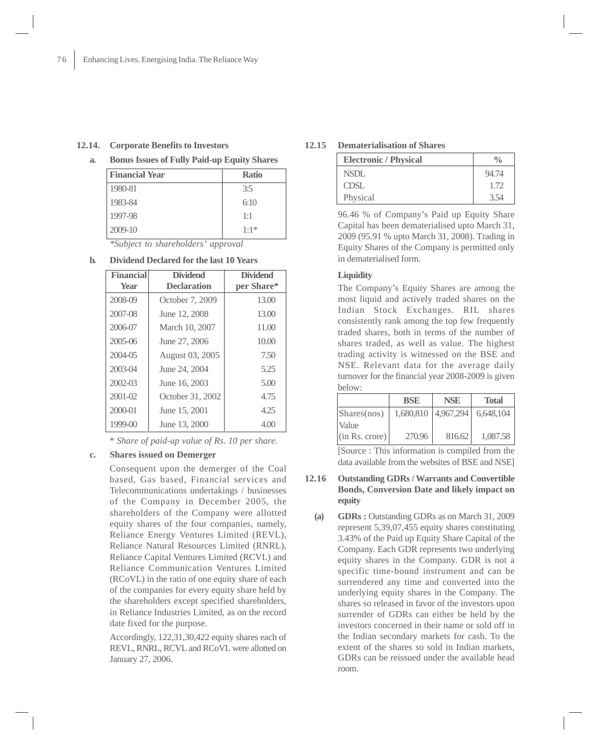## **12.14. Corporate Benefits to Investors**

**a. Bonus Issues of Fully Paid-up Equity Shares**

| <b>Financial Year</b> | <b>Ratio</b> |
|-----------------------|--------------|
| 1980-81               | 3:5          |
| 1983-84               | 6:10         |
| 1997-98               | 1:1          |
| 2009-10               | $1:1*$       |

*\*Subject to shareholders' approval*

| <b>Financial</b><br><b>Year</b> | <b>Dividend</b><br><b>Declaration</b> | <b>Dividend</b><br>per Share* |
|---------------------------------|---------------------------------------|-------------------------------|
| 2008-09                         | October 7, 2009                       | 13.00                         |
| 2007-08                         | June 12, 2008                         | 13.00                         |
| 2006-07                         | March 10, 2007                        | 11.00                         |
| $2005 - 06$                     | June 27, 2006                         | 10.00                         |
| 2004-05                         | August 03, 2005                       | 7.50                          |
| 2003-04                         | June 24, 2004                         | 5.25                          |
| $2002 - 03$                     | June 16, 2003                         | 5.00                          |
| $2001 - 02$                     | October 31, 2002                      | 4.75                          |
| 2000-01                         | June 15, 2001                         | 4 25                          |
| 1999-00                         | June 13, 2000                         | 4.00                          |

#### **b. Dividend Declared for the last 10 Years**

\* *Share of paid-up value of Rs. 10 per share.*

## **c. Shares issued on Demerger**

Consequent upon the demerger of the Coal based, Gas based, Financial services and Telecommunications undertakings / businesses of the Company in December 2005, the shareholders of the Company were allotted equity shares of the four companies, namely, Reliance Energy Ventures Limited (REVL), Reliance Natural Resources Limited (RNRL), Reliance Capital Ventures Limited (RCVL) and Reliance Communication Ventures Limited (RCoVL) in the ratio of one equity share of each of the companies for every equity share held by the shareholders except specified shareholders, in Reliance Industries Limited, as on the record date fixed for the purpose.

Accordingly, 122,31,30,422 equity shares each of REVL, RNRL, RCVL and RCoVL were allotted on January 27, 2006.

### **12.15 Dematerialisation of Shares**

| <b>Electronic / Physical</b> |       |
|------------------------------|-------|
| <b>NSDL</b>                  | 94.74 |
| <b>CDSL</b>                  | 1.72  |
| Physical                     | 3.54  |

96.46 % of Company's Paid up Equity Share Capital has been dematerialised upto March 31, 2009 (95.91 % upto March 31, 2008). Trading in Equity Shares of the Company is permitted only in dematerialised form.

## **Liquidity**

The Company's Equity Shares are among the most liquid and actively traded shares on the Indian Stock Exchanges. RIL shares consistently rank among the top few frequently traded shares, both in terms of the number of shares traded, as well as value. The highest trading activity is witnessed on the BSE and NSE. Relevant data for the average daily turnover for the financial year 2008-2009 is given below:

| <b>BSE</b> | <b>NSE</b> | <b>Total</b> |
|------------|------------|--------------|
| 1,680,810  | 4,967,294  | 6,648,104    |
|            |            |              |
| 270.96     | 816.62     | 1,087.58     |
|            |            |              |

[Source : This information is compiled from the data available from the websites of BSE and NSE]

- **12.16 Outstanding GDRs / Warrants and Convertible Bonds, Conversion Date and likely impact on equity**
	- **(a) GDRs :** Outstanding GDRs as on March 31, 2009 represent 5,39,07,455 equity shares constituting 3.43% of the Paid up Equity Share Capital of the Company. Each GDR represents two underlying equity shares in the Company. GDR is not a specific time-bound instrument and can be surrendered any time and converted into the underlying equity shares in the Company. The shares so released in favor of the investors upon surrender of GDRs can either be held by the investors concerned in their name or sold off in the Indian secondary markets for cash. To the extent of the shares so sold in Indian markets, GDRs can be reissued under the available head room.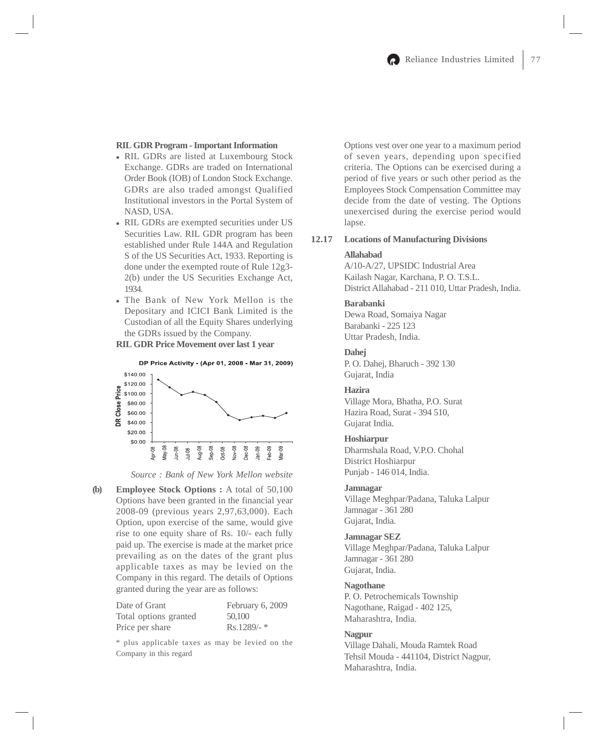### **RIL GDR Program - Important Information**

- RIL GDRs are listed at Luxembourg Stock Exchange. GDRs are traded on International Order Book (IOB) of London Stock Exchange. GDRs are also traded amongst Qualified Institutional investors in the Portal System of NASD, USA.
- RIL GDRs are exempted securities under US Securities Law. RIL GDR program has been established under Rule 144A and Regulation S of the US Securities Act, 1933. Reporting is done under the exempted route of Rule 12g3- 2(b) under the US Securities Exchange Act, 1934.
- The Bank of New York Mellon is the Depositary and ICICI Bank Limited is the Custodian of all the Equity Shares underlying the GDRs issued by the Company.

**RIL GDR Price Movement over last 1 year**



*Source : Bank of New York Mellon website*

**(b) Employee Stock Options :** A total of 50,100 Options have been granted in the financial year 2008-09 (previous years 2,97,63,000). Each Option, upon exercise of the same, would give rise to one equity share of Rs. 10/- each fully paid up. The exercise is made at the market price prevailing as on the dates of the grant plus applicable taxes as may be levied on the Company in this regard. The details of Options granted during the year are as follows:

| Date of Grant         | February 6, 2009 |
|-----------------------|------------------|
| Total options granted | 50,100           |
| Price per share       | $Rs.1289/-$ *    |

\* plus applicable taxes as may be levied on the Company in this regard

Options vest over one year to a maximum period of seven years, depending upon specified criteria. The Options can be exercised during a period of five years or such other period as the Employees Stock Compensation Committee may decide from the date of vesting. The Options unexercised during the exercise period would lapse.

## **12.17 Locations of Manufacturing Divisions**

#### **Allahabad**

A/10-A/27, UPSIDC Industrial Area Kailash Nagar, Karchana, P. O. T.S.L. District Allahabad - 211 010, Uttar Pradesh, India.

## **Barabanki**

Dewa Road, Somaiya Nagar Barabanki - 225 123 Uttar Pradesh, India.

# **Dahej**

P. O. Dahej, Bharuch - 392 130 Gujarat, India

## **Hazira**

Village Mora, Bhatha, P.O. Surat Hazira Road, Surat - 394 510, Gujarat India.

## **Hoshiarpur**

Dharmshala Road, V.P.O. Chohal District Hoshiarpur Punjab - 146 014, India.

#### **Jamnagar**

Village Meghpar/Padana, Taluka Lalpur Jamnagar - 361 280 Gujarat, India.

#### **Jamnagar SEZ**

Village Meghpar/Padana, Taluka Lalpur Jamnagar - 361 280 Gujarat, India.

#### **Nagothane**

P. O. Petrochemicals Township Nagothane, Raigad - 402 125, Maharashtra, India.

#### **Nagpur**

Village Dahali, Mouda Ramtek Road Tehsil Mouda - 441104, District Nagpur, Maharashtra, India.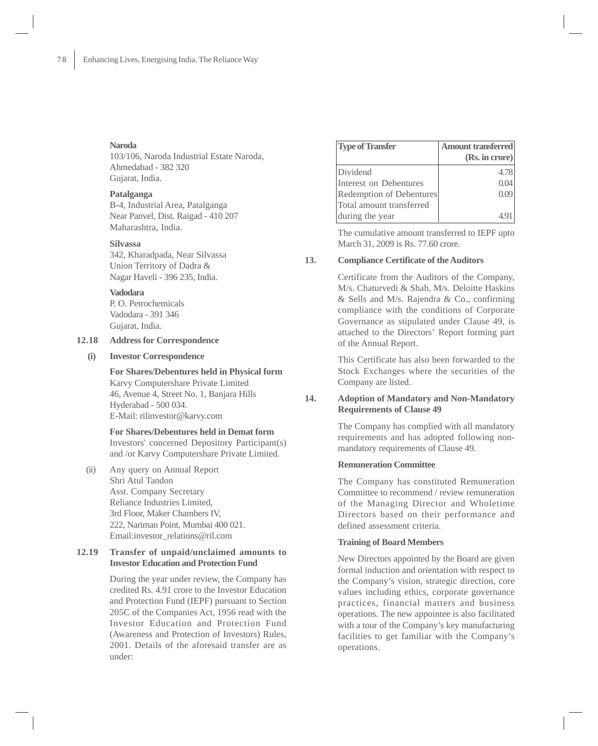#### **Naroda**

103/106, Naroda Industrial Estate Naroda, Ahmedabad - 382 320 Gujarat, India.

#### **Patalganga**

B-4, Industrial Area, Patalganga Near Panvel, Dist. Raigad - 410 207 Maharashtra, India.

## **Silvassa**

342, Kharadpada, Near Silvassa Union Territory of Dadra & Nagar Haveli - 396 235, India.

# **Vadodara**

P. O. Petrochemicals Vadodara - 391 346 Gujarat, India.

# **12.18 Address for Correspondence**

## **(i) Investor Correspondence**

**For Shares/Debentures held in Physical form** Karvy Computershare Private Limited 46, Avenue 4, Street No. 1, Banjara Hills Hyderabad - 500 034. E-Mail: rilinvestor@karvy.com

# **For Shares/Debentures held in Demat form** Investors' concerned Depository Participant(s) and /or Karvy Computershare Private Limited.

(ii) Any query on Annual Report Shri Atul Tandon Asst. Company Secretary Reliance Industries Limited, 3rd Floor, Maker Chambers IV, 222, Nariman Point, Mumbai 400 021. Email:investor\_relations@ril.com

## **12.19 Transfer of unpaid/unclaimed amounts to Investor Education and Protection Fund**

During the year under review, the Company has credited Rs. 4.91 crore to the Investor Education and Protection Fund (IEPF) pursuant to Section 205C of the Companies Act, 1956 read with the Investor Education and Protection Fund (Awareness and Protection of Investors) Rules, 2001. Details of the aforesaid transfer are as under:

| <b>Type of Transfer</b>  | <b>Amount transferred</b> |
|--------------------------|---------------------------|
|                          | (Rs. in crore)            |
| Dividend                 | 4.78                      |
| Interest on Debentures   |                           |
| Redemption of Debentures | 0.09                      |
| Total amount transferred |                           |
| during the year          |                           |

The cumulative amount transferred to IEPF upto March 31, 2009 is Rs. 77.60 crore.

## **13. Compliance Certificate of the Auditors**

Certificate from the Auditors of the Company, M/s. Chaturvedi & Shah, M/s. Deloitte Haskins & Sells and M/s. Rajendra & Co., confirming compliance with the conditions of Corporate Governance as stipulated under Clause 49, is attached to the Directors' Report forming part of the Annual Report.

This Certificate has also been forwarded to the Stock Exchanges where the securities of the Company are listed.

# **14. Adoption of Mandatory and Non-Mandatory Requirements of Clause 49**

The Company has complied with all mandatory requirements and has adopted following nonmandatory requirements of Clause 49.

## **Remuneration Committee**

The Company has constituted Remuneration Committee to recommend / review remuneration of the Managing Director and Wholetime Directors based on their performance and defined assessment criteria.

#### **Training of Board Members**

New Directors appointed by the Board are given formal induction and orientation with respect to the Company's vision, strategic direction, core values including ethics, corporate governance practices, financial matters and business operations. The new appointee is also facilitated with a tour of the Company's key manufacturing facilities to get familiar with the Company's operations.